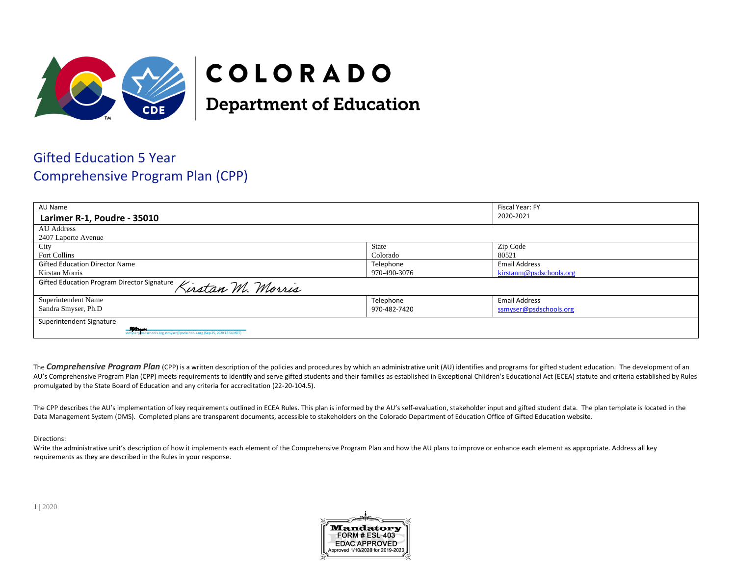

## COLORADO

**Department of Education** 

## Gifted Education 5 Year Comprehensive Program Plan (CPP)

| AU Name                                                                                                                                                                                                                        |                         | Fiscal Year: FY<br>2020-2021 |  |
|--------------------------------------------------------------------------------------------------------------------------------------------------------------------------------------------------------------------------------|-------------------------|------------------------------|--|
| Larimer R-1, Poudre - 35010                                                                                                                                                                                                    |                         |                              |  |
| AU Address                                                                                                                                                                                                                     |                         |                              |  |
| 2407 Laporte Avenue                                                                                                                                                                                                            |                         |                              |  |
| City                                                                                                                                                                                                                           | State                   | Zip Code                     |  |
| Fort Collins                                                                                                                                                                                                                   | Colorado                | 80521                        |  |
| <b>Gifted Education Director Name</b>                                                                                                                                                                                          | Telephone               | <b>Email Address</b>         |  |
| Kirstan Morris                                                                                                                                                                                                                 | kirstanm@psdschools.org |                              |  |
| Gifted Education Program Director Signature Kirstan M. Morris                                                                                                                                                                  |                         |                              |  |
| Superintendent Name                                                                                                                                                                                                            | Telephone               | <b>Email Address</b>         |  |
| Sandra Smyser, Ph.D                                                                                                                                                                                                            | 970-482-7420            | ssmyser@psdschools.org       |  |
| Superintendent Signature                                                                                                                                                                                                       |                         |                              |  |
| Suppose the Marian State State State State State State State State State State State State State State State State State State State State State State State State State State State State State State State State State State |                         |                              |  |

The **Comprehensive Program Plan** (CPP) is a written description of the policies and procedures by which an administrative unit (AU) identifies and programs for gifted student education. The development of an AU's Comprehensive Program Plan (CPP) meets requirements to identify and serve gifted students and their families as established in Exceptional Children's Educational Act (ECEA) statute and criteria established by Rules promulgated by the State Board of Education and any criteria for accreditation (22-20-104.5).

The CPP describes the AU's implementation of key requirements outlined in ECEA Rules. This plan is informed by the AU's self-evaluation, stakeholder input and gifted student data. The plan template is located in the Data Management System (DMS). Completed plans are transparent documents, accessible to stakeholders on the Colorado Department of Education Office of Gifted Education website.

Directions:

Write the administrative unit's description of how it implements each element of the Comprehensive Program Plan and how the AU plans to improve or enhance each element as appropriate. Address all key requirements as they are described in the Rules in your response.

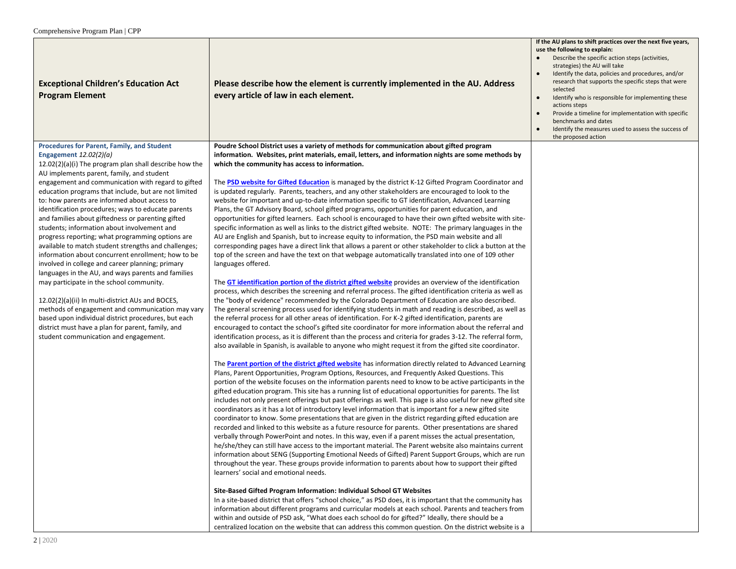| <b>Exceptional Children's Education Act</b><br><b>Program Element</b>                                                                                                                                                                                                                                                                                                                                                                                                                                                                                                                                                                                                                                                                                                                                                                                                                                                                                                                                                                                                                               | Please describe how the element is currently implemented in the AU. Address<br>every article of law in each element.                                                                                                                                                                                                                                                                                                                                                                                                                                                                                                                                                                                                                                                                                                                                                                                                                                                                                                                                                                                                                                                                                                                                                                                                                                                                                                                                                                                                                                                                                                                                                                                                                                                                                                                                                                                                                                                                                                                                                                                                                                                                                                                                                                                                                                                                                                                                                                                                                                                                                                                                                                                                                                                                                                                                                                                                                                                                                                                                                                                                                                                                                                                                                                                                                                                                                                                                                                                                                                                                                                                                                                                                                                                                                                                                                                                                                                                                                  | If the AU plans to shift practices over the next five years,<br>use the following to explain:<br>Describe the specific action steps (activities,<br>strategies) the AU will take<br>Identify the data, policies and procedures, and/or<br>research that supports the specific steps that were<br>selected<br>Identify who is responsible for implementing these<br>$\bullet$<br>actions steps<br>Provide a timeline for implementation with specific<br>benchmarks and dates<br>Identify the measures used to assess the success of<br>the proposed action |
|-----------------------------------------------------------------------------------------------------------------------------------------------------------------------------------------------------------------------------------------------------------------------------------------------------------------------------------------------------------------------------------------------------------------------------------------------------------------------------------------------------------------------------------------------------------------------------------------------------------------------------------------------------------------------------------------------------------------------------------------------------------------------------------------------------------------------------------------------------------------------------------------------------------------------------------------------------------------------------------------------------------------------------------------------------------------------------------------------------|-------------------------------------------------------------------------------------------------------------------------------------------------------------------------------------------------------------------------------------------------------------------------------------------------------------------------------------------------------------------------------------------------------------------------------------------------------------------------------------------------------------------------------------------------------------------------------------------------------------------------------------------------------------------------------------------------------------------------------------------------------------------------------------------------------------------------------------------------------------------------------------------------------------------------------------------------------------------------------------------------------------------------------------------------------------------------------------------------------------------------------------------------------------------------------------------------------------------------------------------------------------------------------------------------------------------------------------------------------------------------------------------------------------------------------------------------------------------------------------------------------------------------------------------------------------------------------------------------------------------------------------------------------------------------------------------------------------------------------------------------------------------------------------------------------------------------------------------------------------------------------------------------------------------------------------------------------------------------------------------------------------------------------------------------------------------------------------------------------------------------------------------------------------------------------------------------------------------------------------------------------------------------------------------------------------------------------------------------------------------------------------------------------------------------------------------------------------------------------------------------------------------------------------------------------------------------------------------------------------------------------------------------------------------------------------------------------------------------------------------------------------------------------------------------------------------------------------------------------------------------------------------------------------------------------------------------------------------------------------------------------------------------------------------------------------------------------------------------------------------------------------------------------------------------------------------------------------------------------------------------------------------------------------------------------------------------------------------------------------------------------------------------------------------------------------------------------------------------------------------------------------------------------------------------------------------------------------------------------------------------------------------------------------------------------------------------------------------------------------------------------------------------------------------------------------------------------------------------------------------------------------------------------------------------------------------------------------------------------------------------------|------------------------------------------------------------------------------------------------------------------------------------------------------------------------------------------------------------------------------------------------------------------------------------------------------------------------------------------------------------------------------------------------------------------------------------------------------------------------------------------------------------------------------------------------------------|
| <b>Procedures for Parent, Family, and Student</b><br>Engagement $12.02(2)(a)$<br>$12.02(2)(a)(i)$ The program plan shall describe how the<br>AU implements parent, family, and student<br>engagement and communication with regard to gifted<br>education programs that include, but are not limited<br>to: how parents are informed about access to<br>identification procedures; ways to educate parents<br>and families about giftedness or parenting gifted<br>students; information about involvement and<br>progress reporting; what programming options are<br>available to match student strengths and challenges;<br>information about concurrent enrollment; how to be<br>involved in college and career planning; primary<br>languages in the AU, and ways parents and families<br>may participate in the school community.<br>12.02(2)(a)(ii) In multi-district AUs and BOCES,<br>methods of engagement and communication may vary<br>based upon individual district procedures, but each<br>district must have a plan for parent, family, and<br>student communication and engagement. | Poudre School District uses a variety of methods for communication about gifted program<br>information. Websites, print materials, email, letters, and information nights are some methods by<br>which the community has access to information.<br>The PSD website for Gifted Education is managed by the district K-12 Gifted Program Coordinator and<br>is updated regularly. Parents, teachers, and any other stakeholders are encouraged to look to the<br>website for important and up-to-date information specific to GT identification, Advanced Learning<br>Plans, the GT Advisory Board, school gifted programs, opportunities for parent education, and<br>opportunities for gifted learners. Each school is encouraged to have their own gifted website with site-<br>specific information as well as links to the district gifted website. NOTE: The primary languages in the<br>AU are English and Spanish, but to increase equity to information, the PSD main website and all<br>corresponding pages have a direct link that allows a parent or other stakeholder to click a button at the<br>top of the screen and have the text on that webpage automatically translated into one of 109 other<br>languages offered.<br>The GT identification portion of the district gifted website provides an overview of the identification<br>process, which describes the screening and referral process. The gifted identification criteria as well as<br>the "body of evidence" recommended by the Colorado Department of Education are also described.<br>The general screening process used for identifying students in math and reading is described, as well as<br>the referral process for all other areas of identification. For K-2 gifted identification, parents are<br>encouraged to contact the school's gifted site coordinator for more information about the referral and<br>identification process, as it is different than the process and criteria for grades 3-12. The referral form,<br>also available in Spanish, is available to anyone who might request it from the gifted site coordinator.<br>The <b>Parent portion of the district gifted website</b> has information directly related to Advanced Learning<br>Plans, Parent Opportunities, Program Options, Resources, and Frequently Asked Questions. This<br>portion of the website focuses on the information parents need to know to be active participants in the<br>gifted education program. This site has a running list of educational opportunities for parents. The list<br>includes not only present offerings but past offerings as well. This page is also useful for new gifted site<br>coordinators as it has a lot of introductory level information that is important for a new gifted site<br>coordinator to know. Some presentations that are given in the district regarding gifted education are<br>recorded and linked to this website as a future resource for parents. Other presentations are shared<br>verbally through PowerPoint and notes. In this way, even if a parent misses the actual presentation,<br>he/she/they can still have access to the important material. The Parent website also maintains current<br>information about SENG (Supporting Emotional Needs of Gifted) Parent Support Groups, which are run<br>throughout the year. These groups provide information to parents about how to support their gifted<br>learners' social and emotional needs.<br>Site-Based Gifted Program Information: Individual School GT Websites<br>In a site-based district that offers "school choice," as PSD does, it is important that the community has<br>information about different programs and curricular models at each school. Parents and teachers from<br>within and outside of PSD ask, "What does each school do for gifted?" Ideally, there should be a<br>centralized location on the website that can address this common question. On the district website is a |                                                                                                                                                                                                                                                                                                                                                                                                                                                                                                                                                            |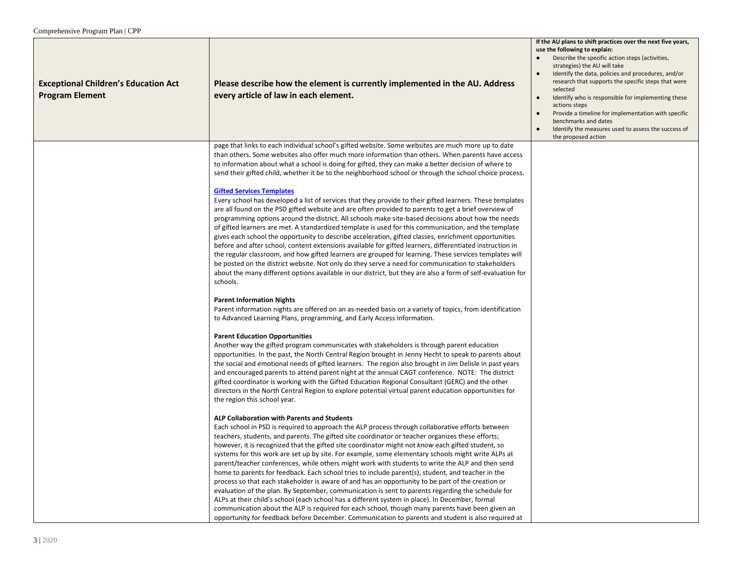| <b>Exceptional Children's Education Act</b><br><b>Program Element</b> | Please describe how the element is currently implemented in the AU. Address<br>every article of law in each element.                                                                                                                                                                                                                                                                                                                                                                                                                                                                                                                                                                                                                                                                                                                                                                                                                                                                                                                                                                                                                                                                          | If the AU plans to shift practices over the next five years,<br>use the following to explain:<br>Describe the specific action steps (activities,<br>strategies) the AU will take<br>Identify the data, policies and procedures, and/or<br>research that supports the specific steps that were<br>selected<br>Identify who is responsible for implementing these<br>actions steps<br>Provide a timeline for implementation with specific<br>benchmarks and dates<br>Identify the measures used to assess the success of<br>the proposed action |
|-----------------------------------------------------------------------|-----------------------------------------------------------------------------------------------------------------------------------------------------------------------------------------------------------------------------------------------------------------------------------------------------------------------------------------------------------------------------------------------------------------------------------------------------------------------------------------------------------------------------------------------------------------------------------------------------------------------------------------------------------------------------------------------------------------------------------------------------------------------------------------------------------------------------------------------------------------------------------------------------------------------------------------------------------------------------------------------------------------------------------------------------------------------------------------------------------------------------------------------------------------------------------------------|-----------------------------------------------------------------------------------------------------------------------------------------------------------------------------------------------------------------------------------------------------------------------------------------------------------------------------------------------------------------------------------------------------------------------------------------------------------------------------------------------------------------------------------------------|
|                                                                       | page that links to each individual school's gifted website. Some websites are much more up to date<br>than others. Some websites also offer much more information than others. When parents have access<br>to information about what a school is doing for gifted, they can make a better decision of where to<br>send their gifted child, whether it be to the neighborhood school or through the school choice process.                                                                                                                                                                                                                                                                                                                                                                                                                                                                                                                                                                                                                                                                                                                                                                     |                                                                                                                                                                                                                                                                                                                                                                                                                                                                                                                                               |
|                                                                       | <b>Gifted Services Templates</b><br>Every school has developed a list of services that they provide to their gifted learners. These templates<br>are all found on the PSD gifted website and are often provided to parents to get a brief overview of<br>programming options around the district. All schools make site-based decisions about how the needs<br>of gifted learners are met. A standardized template is used for this communication, and the template<br>gives each school the opportunity to describe acceleration, gifted classes, enrichment opportunities<br>before and after school, content extensions available for gifted learners, differentiated instruction in<br>the regular classroom, and how gifted learners are grouped for learning. These services templates will<br>be posted on the district website. Not only do they serve a need for communication to stakeholders<br>about the many different options available in our district, but they are also a form of self-evaluation for<br>schools.                                                                                                                                                            |                                                                                                                                                                                                                                                                                                                                                                                                                                                                                                                                               |
|                                                                       | <b>Parent Information Nights</b><br>Parent information nights are offered on an as-needed basis on a variety of topics, from identification<br>to Advanced Learning Plans, programming, and Early Access information.                                                                                                                                                                                                                                                                                                                                                                                                                                                                                                                                                                                                                                                                                                                                                                                                                                                                                                                                                                         |                                                                                                                                                                                                                                                                                                                                                                                                                                                                                                                                               |
|                                                                       | <b>Parent Education Opportunities</b><br>Another way the gifted program communicates with stakeholders is through parent education<br>opportunities. In the past, the North Central Region brought in Jenny Hecht to speak to parents about<br>the social and emotional needs of gifted learners. The region also brought in Jim Delisle in past years<br>and encouraged parents to attend parent night at the annual CAGT conference. NOTE: The district<br>gifted coordinator is working with the Gifted Education Regional Consultant (GERC) and the other<br>directors in the North Central Region to explore potential virtual parent education opportunities for<br>the region this school year.                                                                                                                                                                                                                                                                                                                                                                                                                                                                                        |                                                                                                                                                                                                                                                                                                                                                                                                                                                                                                                                               |
|                                                                       | ALP Collaboration with Parents and Students<br>Each school in PSD is required to approach the ALP process through collaborative efforts between<br>teachers, students, and parents. The gifted site coordinator or teacher organizes these efforts;<br>however, it is recognized that the gifted site coordinator might not know each gifted student, so<br>systems for this work are set up by site. For example, some elementary schools might write ALPs at<br>parent/teacher conferences, while others might work with students to write the ALP and then send<br>home to parents for feedback. Each school tries to include parent(s), student, and teacher in the<br>process so that each stakeholder is aware of and has an opportunity to be part of the creation or<br>evaluation of the plan. By September, communication is sent to parents regarding the schedule for<br>ALPs at their child's school (each school has a different system in place). In December, formal<br>communication about the ALP is required for each school, though many parents have been given an<br>opportunity for feedback before December. Communication to parents and student is also required at |                                                                                                                                                                                                                                                                                                                                                                                                                                                                                                                                               |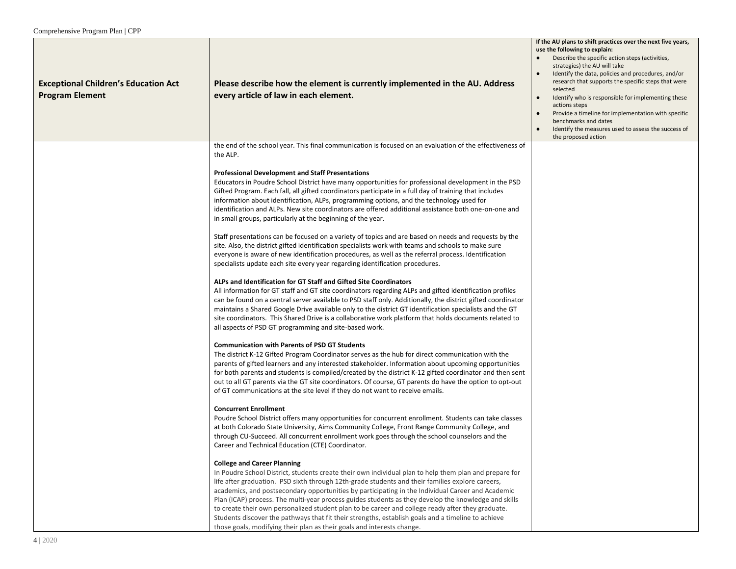| <b>Exceptional Children's Education Act</b><br><b>Program Element</b> | Please describe how the element is currently implemented in the AU. Address<br>every article of law in each element.                                                                                                                                                                                                                                                                                                                                                                                                                                                                                                                                                                                                                               | If the AU plans to shift practices over the next five years,<br>use the following to explain:<br>Describe the specific action steps (activities,<br>strategies) the AU will take<br>Identify the data, policies and procedures, and/or<br>research that supports the specific steps that were<br>selected<br>Identify who is responsible for implementing these<br>$\bullet$<br>actions steps<br>Provide a timeline for implementation with specific<br>benchmarks and dates<br>Identify the measures used to assess the success of<br>the proposed action |
|-----------------------------------------------------------------------|----------------------------------------------------------------------------------------------------------------------------------------------------------------------------------------------------------------------------------------------------------------------------------------------------------------------------------------------------------------------------------------------------------------------------------------------------------------------------------------------------------------------------------------------------------------------------------------------------------------------------------------------------------------------------------------------------------------------------------------------------|------------------------------------------------------------------------------------------------------------------------------------------------------------------------------------------------------------------------------------------------------------------------------------------------------------------------------------------------------------------------------------------------------------------------------------------------------------------------------------------------------------------------------------------------------------|
|                                                                       | the end of the school year. This final communication is focused on an evaluation of the effectiveness of<br>the ALP.                                                                                                                                                                                                                                                                                                                                                                                                                                                                                                                                                                                                                               |                                                                                                                                                                                                                                                                                                                                                                                                                                                                                                                                                            |
|                                                                       | <b>Professional Development and Staff Presentations</b><br>Educators in Poudre School District have many opportunities for professional development in the PSD<br>Gifted Program. Each fall, all gifted coordinators participate in a full day of training that includes<br>information about identification, ALPs, programming options, and the technology used for<br>identification and ALPs. New site coordinators are offered additional assistance both one-on-one and<br>in small groups, particularly at the beginning of the year.                                                                                                                                                                                                        |                                                                                                                                                                                                                                                                                                                                                                                                                                                                                                                                                            |
|                                                                       | Staff presentations can be focused on a variety of topics and are based on needs and requests by the<br>site. Also, the district gifted identification specialists work with teams and schools to make sure<br>everyone is aware of new identification procedures, as well as the referral process. Identification<br>specialists update each site every year regarding identification procedures.                                                                                                                                                                                                                                                                                                                                                 |                                                                                                                                                                                                                                                                                                                                                                                                                                                                                                                                                            |
|                                                                       | ALPs and Identification for GT Staff and Gifted Site Coordinators<br>All information for GT staff and GT site coordinators regarding ALPs and gifted identification profiles<br>can be found on a central server available to PSD staff only. Additionally, the district gifted coordinator<br>maintains a Shared Google Drive available only to the district GT identification specialists and the GT<br>site coordinators. This Shared Drive is a collaborative work platform that holds documents related to<br>all aspects of PSD GT programming and site-based work.                                                                                                                                                                          |                                                                                                                                                                                                                                                                                                                                                                                                                                                                                                                                                            |
|                                                                       | <b>Communication with Parents of PSD GT Students</b><br>The district K-12 Gifted Program Coordinator serves as the hub for direct communication with the<br>parents of gifted learners and any interested stakeholder. Information about upcoming opportunities<br>for both parents and students is compiled/created by the district K-12 gifted coordinator and then sent<br>out to all GT parents via the GT site coordinators. Of course, GT parents do have the option to opt-out<br>of GT communications at the site level if they do not want to receive emails.                                                                                                                                                                             |                                                                                                                                                                                                                                                                                                                                                                                                                                                                                                                                                            |
|                                                                       | <b>Concurrent Enrollment</b><br>Poudre School District offers many opportunities for concurrent enrollment. Students can take classes<br>at both Colorado State University, Aims Community College, Front Range Community College, and<br>through CU-Succeed. All concurrent enrollment work goes through the school counselors and the<br>Career and Technical Education (CTE) Coordinator.                                                                                                                                                                                                                                                                                                                                                       |                                                                                                                                                                                                                                                                                                                                                                                                                                                                                                                                                            |
|                                                                       | <b>College and Career Planning</b><br>In Poudre School District, students create their own individual plan to help them plan and prepare for<br>life after graduation. PSD sixth through 12th-grade students and their families explore careers,<br>academics, and postsecondary opportunities by participating in the Individual Career and Academic<br>Plan (ICAP) process. The multi-year process guides students as they develop the knowledge and skills<br>to create their own personalized student plan to be career and college ready after they graduate.<br>Students discover the pathways that fit their strengths, establish goals and a timeline to achieve<br>those goals, modifying their plan as their goals and interests change. |                                                                                                                                                                                                                                                                                                                                                                                                                                                                                                                                                            |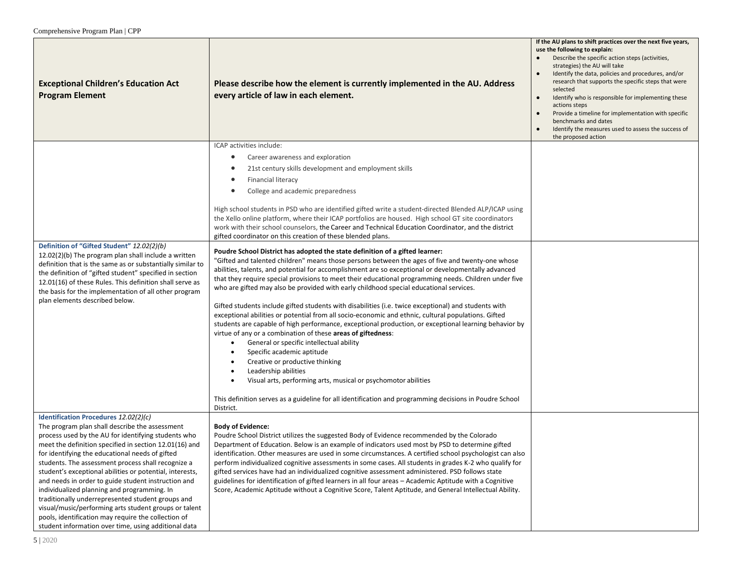| <b>Exceptional Children's Education Act</b><br><b>Program Element</b>                                                                                                                                                                                                                                                                                                                                                                                                                                                                                                                                                                                                                                            | Please describe how the element is currently implemented in the AU. Address<br>every article of law in each element.                                                                                                                                                                                                                                                                                                                                                                                                                                                                                                                                                                                                                                                                                                                                                                                                                                                                                                                                                                                                                                                                                                                                                                                                                                                                                                                                                                                                                                                                                                                                                                                                                                                                                                                           | If the AU plans to shift practices over the next five years,<br>use the following to explain:<br>Describe the specific action steps (activities,<br>strategies) the AU will take<br>Identify the data, policies and procedures, and/or<br>research that supports the specific steps that were<br>selected<br>Identify who is responsible for implementing these<br>$\bullet$<br>actions steps<br>Provide a timeline for implementation with specific<br>benchmarks and dates<br>Identify the measures used to assess the success of<br>the proposed action |
|------------------------------------------------------------------------------------------------------------------------------------------------------------------------------------------------------------------------------------------------------------------------------------------------------------------------------------------------------------------------------------------------------------------------------------------------------------------------------------------------------------------------------------------------------------------------------------------------------------------------------------------------------------------------------------------------------------------|------------------------------------------------------------------------------------------------------------------------------------------------------------------------------------------------------------------------------------------------------------------------------------------------------------------------------------------------------------------------------------------------------------------------------------------------------------------------------------------------------------------------------------------------------------------------------------------------------------------------------------------------------------------------------------------------------------------------------------------------------------------------------------------------------------------------------------------------------------------------------------------------------------------------------------------------------------------------------------------------------------------------------------------------------------------------------------------------------------------------------------------------------------------------------------------------------------------------------------------------------------------------------------------------------------------------------------------------------------------------------------------------------------------------------------------------------------------------------------------------------------------------------------------------------------------------------------------------------------------------------------------------------------------------------------------------------------------------------------------------------------------------------------------------------------------------------------------------|------------------------------------------------------------------------------------------------------------------------------------------------------------------------------------------------------------------------------------------------------------------------------------------------------------------------------------------------------------------------------------------------------------------------------------------------------------------------------------------------------------------------------------------------------------|
| Definition of "Gifted Student" 12.02(2)(b)<br>12.02(2)(b) The program plan shall include a written<br>definition that is the same as or substantially similar to<br>the definition of "gifted student" specified in section<br>12.01(16) of these Rules. This definition shall serve as<br>the basis for the implementation of all other program<br>plan elements described below.                                                                                                                                                                                                                                                                                                                               | ICAP activities include:<br>Career awareness and exploration<br>$\bullet$<br>21st century skills development and employment skills<br><b>Financial literacy</b><br>٠<br>College and academic preparedness<br>High school students in PSD who are identified gifted write a student-directed Blended ALP/ICAP using<br>the Xello online platform, where their ICAP portfolios are housed. High school GT site coordinators<br>work with their school counselors, the Career and Technical Education Coordinator, and the district<br>gifted coordinator on this creation of these blended plans.<br>Poudre School District has adopted the state definition of a gifted learner:<br>"Gifted and talented children" means those persons between the ages of five and twenty-one whose<br>abilities, talents, and potential for accomplishment are so exceptional or developmentally advanced<br>that they require special provisions to meet their educational programming needs. Children under five<br>who are gifted may also be provided with early childhood special educational services.<br>Gifted students include gifted students with disabilities (i.e. twice exceptional) and students with<br>exceptional abilities or potential from all socio-economic and ethnic, cultural populations. Gifted<br>students are capable of high performance, exceptional production, or exceptional learning behavior by<br>virtue of any or a combination of these areas of giftedness:<br>General or specific intellectual ability<br>$\bullet$<br>Specific academic aptitude<br>Creative or productive thinking<br>Leadership abilities<br>$\bullet$<br>Visual arts, performing arts, musical or psychomotor abilities<br>This definition serves as a guideline for all identification and programming decisions in Poudre School<br>District. |                                                                                                                                                                                                                                                                                                                                                                                                                                                                                                                                                            |
| Identification Procedures 12.02(2)(c)<br>The program plan shall describe the assessment<br>process used by the AU for identifying students who<br>meet the definition specified in section 12.01(16) and<br>for identifying the educational needs of gifted<br>students. The assessment process shall recognize a<br>student's exceptional abilities or potential, interests,<br>and needs in order to guide student instruction and<br>individualized planning and programming. In<br>traditionally underrepresented student groups and<br>visual/music/performing arts student groups or talent<br>pools, identification may require the collection of<br>student information over time, using additional data | <b>Body of Evidence:</b><br>Poudre School District utilizes the suggested Body of Evidence recommended by the Colorado<br>Department of Education. Below is an example of indicators used most by PSD to determine gifted<br>identification. Other measures are used in some circumstances. A certified school psychologist can also<br>perform individualized cognitive assessments in some cases. All students in grades K-2 who qualify for<br>gifted services have had an individualized cognitive assessment administered. PSD follows state<br>guidelines for identification of gifted learners in all four areas - Academic Aptitude with a Cognitive<br>Score, Academic Aptitude without a Cognitive Score, Talent Aptitude, and General Intellectual Ability.                                                                                                                                                                                                                                                                                                                                                                                                                                                                                                                                                                                                                                                                                                                                                                                                                                                                                                                                                                                                                                                                         |                                                                                                                                                                                                                                                                                                                                                                                                                                                                                                                                                            |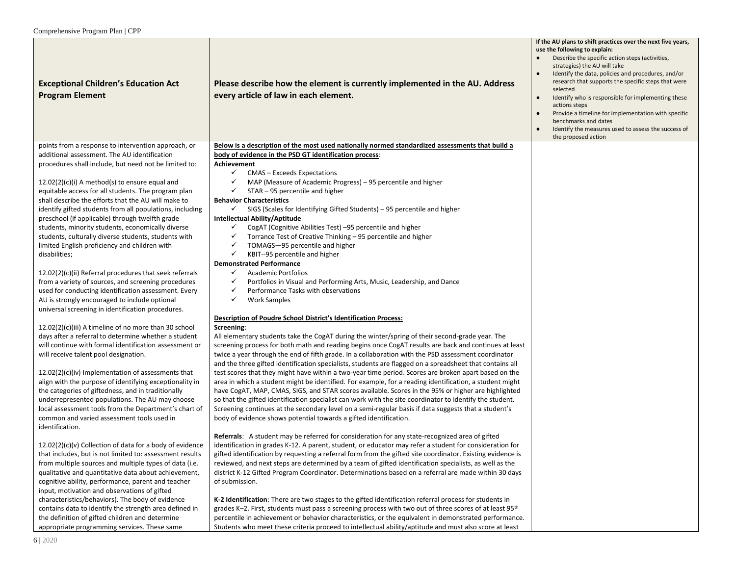| <b>Exceptional Children's Education Act</b><br><b>Program Element</b>                                      | Please describe how the element is currently implemented in the AU. Address<br>every article of law in each element.                                                                                            | If the AU plans to shift practices over the next five years,<br>use the following to explain:<br>Describe the specific action steps (activities,<br>strategies) the AU will take<br>Identify the data, policies and procedures, and/or<br>research that supports the specific steps that were<br>selected<br>Identify who is responsible for implementing these<br>actions steps<br>Provide a timeline for implementation with specific<br>benchmarks and dates<br>Identify the measures used to assess the success of<br>$\bullet$<br>the proposed action |
|------------------------------------------------------------------------------------------------------------|-----------------------------------------------------------------------------------------------------------------------------------------------------------------------------------------------------------------|------------------------------------------------------------------------------------------------------------------------------------------------------------------------------------------------------------------------------------------------------------------------------------------------------------------------------------------------------------------------------------------------------------------------------------------------------------------------------------------------------------------------------------------------------------|
| points from a response to intervention approach, or                                                        | Below is a description of the most used nationally normed standardized assessments that build a                                                                                                                 |                                                                                                                                                                                                                                                                                                                                                                                                                                                                                                                                                            |
| additional assessment. The AU identification                                                               | body of evidence in the PSD GT identification process:                                                                                                                                                          |                                                                                                                                                                                                                                                                                                                                                                                                                                                                                                                                                            |
| procedures shall include, but need not be limited to:                                                      | Achievement                                                                                                                                                                                                     |                                                                                                                                                                                                                                                                                                                                                                                                                                                                                                                                                            |
|                                                                                                            | $\checkmark$<br>CMAS - Exceeds Expectations                                                                                                                                                                     |                                                                                                                                                                                                                                                                                                                                                                                                                                                                                                                                                            |
| $12.02(2)(c)(i)$ A method(s) to ensure equal and                                                           | MAP (Measure of Academic Progress) – 95 percentile and higher<br>✓                                                                                                                                              |                                                                                                                                                                                                                                                                                                                                                                                                                                                                                                                                                            |
| equitable access for all students. The program plan                                                        | ✓<br>STAR - 95 percentile and higher                                                                                                                                                                            |                                                                                                                                                                                                                                                                                                                                                                                                                                                                                                                                                            |
| shall describe the efforts that the AU will make to                                                        | <b>Behavior Characteristics</b>                                                                                                                                                                                 |                                                                                                                                                                                                                                                                                                                                                                                                                                                                                                                                                            |
| identify gifted students from all populations, including                                                   | $\checkmark$<br>SIGS (Scales for Identifying Gifted Students) - 95 percentile and higher                                                                                                                        |                                                                                                                                                                                                                                                                                                                                                                                                                                                                                                                                                            |
| preschool (if applicable) through twelfth grade                                                            | Intellectual Ability/Aptitude                                                                                                                                                                                   |                                                                                                                                                                                                                                                                                                                                                                                                                                                                                                                                                            |
| students, minority students, economically diverse                                                          | CogAT (Cognitive Abilities Test) -95 percentile and higher<br>$\checkmark$                                                                                                                                      |                                                                                                                                                                                                                                                                                                                                                                                                                                                                                                                                                            |
| students, culturally diverse students, students with                                                       | Torrance Test of Creative Thinking - 95 percentile and higher<br>$\checkmark$                                                                                                                                   |                                                                                                                                                                                                                                                                                                                                                                                                                                                                                                                                                            |
| limited English proficiency and children with                                                              | ✓<br>TOMAGS-95 percentile and higher<br>✓                                                                                                                                                                       |                                                                                                                                                                                                                                                                                                                                                                                                                                                                                                                                                            |
| disabilities;                                                                                              | KBIT--95 percentile and higher<br><b>Demonstrated Performance</b>                                                                                                                                               |                                                                                                                                                                                                                                                                                                                                                                                                                                                                                                                                                            |
| 12.02(2)(c)(ii) Referral procedures that seek referrals                                                    | <b>Academic Portfolios</b><br>$\checkmark$                                                                                                                                                                      |                                                                                                                                                                                                                                                                                                                                                                                                                                                                                                                                                            |
| from a variety of sources, and screening procedures                                                        | ✓<br>Portfolios in Visual and Performing Arts, Music, Leadership, and Dance                                                                                                                                     |                                                                                                                                                                                                                                                                                                                                                                                                                                                                                                                                                            |
| used for conducting identification assessment. Every                                                       | ✓<br>Performance Tasks with observations                                                                                                                                                                        |                                                                                                                                                                                                                                                                                                                                                                                                                                                                                                                                                            |
| AU is strongly encouraged to include optional                                                              | ✓<br><b>Work Samples</b>                                                                                                                                                                                        |                                                                                                                                                                                                                                                                                                                                                                                                                                                                                                                                                            |
| universal screening in identification procedures.                                                          |                                                                                                                                                                                                                 |                                                                                                                                                                                                                                                                                                                                                                                                                                                                                                                                                            |
|                                                                                                            | Description of Poudre School District's Identification Process:                                                                                                                                                 |                                                                                                                                                                                                                                                                                                                                                                                                                                                                                                                                                            |
| 12.02(2)(c)(iii) A timeline of no more than 30 school                                                      | Screening:                                                                                                                                                                                                      |                                                                                                                                                                                                                                                                                                                                                                                                                                                                                                                                                            |
| days after a referral to determine whether a student                                                       | All elementary students take the CogAT during the winter/spring of their second-grade year. The                                                                                                                 |                                                                                                                                                                                                                                                                                                                                                                                                                                                                                                                                                            |
| will continue with formal identification assessment or                                                     | screening process for both math and reading begins once CogAT results are back and continues at least                                                                                                           |                                                                                                                                                                                                                                                                                                                                                                                                                                                                                                                                                            |
| will receive talent pool designation.                                                                      | twice a year through the end of fifth grade. In a collaboration with the PSD assessment coordinator<br>and the three gifted identification specialists, students are flagged on a spreadsheet that contains all |                                                                                                                                                                                                                                                                                                                                                                                                                                                                                                                                                            |
| $12.02(2)(c)(iv)$ Implementation of assessments that                                                       | test scores that they might have within a two-year time period. Scores are broken apart based on the                                                                                                            |                                                                                                                                                                                                                                                                                                                                                                                                                                                                                                                                                            |
| align with the purpose of identifying exceptionality in                                                    | area in which a student might be identified. For example, for a reading identification, a student might                                                                                                         |                                                                                                                                                                                                                                                                                                                                                                                                                                                                                                                                                            |
| the categories of giftedness, and in traditionally                                                         | have CogAT, MAP, CMAS, SIGS, and STAR scores available. Scores in the 95% or higher are highlighted                                                                                                             |                                                                                                                                                                                                                                                                                                                                                                                                                                                                                                                                                            |
| underrepresented populations. The AU may choose                                                            | so that the gifted identification specialist can work with the site coordinator to identify the student.                                                                                                        |                                                                                                                                                                                                                                                                                                                                                                                                                                                                                                                                                            |
| local assessment tools from the Department's chart of                                                      | Screening continues at the secondary level on a semi-regular basis if data suggests that a student's                                                                                                            |                                                                                                                                                                                                                                                                                                                                                                                                                                                                                                                                                            |
| common and varied assessment tools used in                                                                 | body of evidence shows potential towards a gifted identification.                                                                                                                                               |                                                                                                                                                                                                                                                                                                                                                                                                                                                                                                                                                            |
| identification.                                                                                            |                                                                                                                                                                                                                 |                                                                                                                                                                                                                                                                                                                                                                                                                                                                                                                                                            |
|                                                                                                            | Referrals: A student may be referred for consideration for any state-recognized area of gifted                                                                                                                  |                                                                                                                                                                                                                                                                                                                                                                                                                                                                                                                                                            |
| $12.02(2)(c)(v)$ Collection of data for a body of evidence                                                 | identification in grades K-12. A parent, student, or educator may refer a student for consideration for                                                                                                         |                                                                                                                                                                                                                                                                                                                                                                                                                                                                                                                                                            |
| that includes, but is not limited to: assessment results                                                   | gifted identification by requesting a referral form from the gifted site coordinator. Existing evidence is                                                                                                      |                                                                                                                                                                                                                                                                                                                                                                                                                                                                                                                                                            |
| from multiple sources and multiple types of data (i.e.                                                     | reviewed, and next steps are determined by a team of gifted identification specialists, as well as the<br>district K-12 Gifted Program Coordinator. Determinations based on a referral are made within 30 days  |                                                                                                                                                                                                                                                                                                                                                                                                                                                                                                                                                            |
| qualitative and quantitative data about achievement,<br>cognitive ability, performance, parent and teacher | of submission.                                                                                                                                                                                                  |                                                                                                                                                                                                                                                                                                                                                                                                                                                                                                                                                            |
| input, motivation and observations of gifted                                                               |                                                                                                                                                                                                                 |                                                                                                                                                                                                                                                                                                                                                                                                                                                                                                                                                            |
| characteristics/behaviors). The body of evidence                                                           | K-2 Identification: There are two stages to the gifted identification referral process for students in                                                                                                          |                                                                                                                                                                                                                                                                                                                                                                                                                                                                                                                                                            |
| contains data to identify the strength area defined in                                                     | grades K-2. First, students must pass a screening process with two out of three scores of at least 95 <sup>th</sup>                                                                                             |                                                                                                                                                                                                                                                                                                                                                                                                                                                                                                                                                            |
| the definition of gifted children and determine                                                            | percentile in achievement or behavior characteristics, or the equivalent in demonstrated performance.                                                                                                           |                                                                                                                                                                                                                                                                                                                                                                                                                                                                                                                                                            |
| appropriate programming services. These same                                                               | Students who meet these criteria proceed to intellectual ability/aptitude and must also score at least                                                                                                          |                                                                                                                                                                                                                                                                                                                                                                                                                                                                                                                                                            |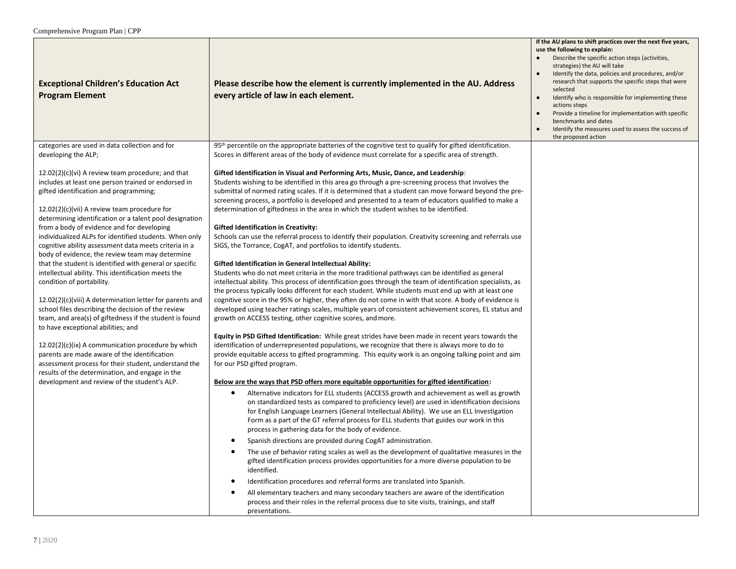| <b>Exceptional Children's Education Act</b><br><b>Program Element</b><br>categories are used in data collection and for                                                                                                                                                                                                                                                                                                                                                                                                                                                                                 | Please describe how the element is currently implemented in the AU. Address<br>every article of law in each element.<br>95 <sup>th</sup> percentile on the appropriate batteries of the cognitive test to qualify for gifted identification.                                                                                                                                                                                                                                                                                                                                                                                                                                                                                                                                                                                                                                                            | If the AU plans to shift practices over the next five years,<br>use the following to explain:<br>Describe the specific action steps (activities,<br>strategies) the AU will take<br>Identify the data, policies and procedures, and/or<br>research that supports the specific steps that were<br>selected<br>Identify who is responsible for implementing these<br>$\bullet$<br>actions steps<br>Provide a timeline for implementation with specific<br>benchmarks and dates<br>Identify the measures used to assess the success of<br>the proposed action |
|---------------------------------------------------------------------------------------------------------------------------------------------------------------------------------------------------------------------------------------------------------------------------------------------------------------------------------------------------------------------------------------------------------------------------------------------------------------------------------------------------------------------------------------------------------------------------------------------------------|---------------------------------------------------------------------------------------------------------------------------------------------------------------------------------------------------------------------------------------------------------------------------------------------------------------------------------------------------------------------------------------------------------------------------------------------------------------------------------------------------------------------------------------------------------------------------------------------------------------------------------------------------------------------------------------------------------------------------------------------------------------------------------------------------------------------------------------------------------------------------------------------------------|------------------------------------------------------------------------------------------------------------------------------------------------------------------------------------------------------------------------------------------------------------------------------------------------------------------------------------------------------------------------------------------------------------------------------------------------------------------------------------------------------------------------------------------------------------|
| developing the ALP;                                                                                                                                                                                                                                                                                                                                                                                                                                                                                                                                                                                     | Scores in different areas of the body of evidence must correlate for a specific area of strength.                                                                                                                                                                                                                                                                                                                                                                                                                                                                                                                                                                                                                                                                                                                                                                                                       |                                                                                                                                                                                                                                                                                                                                                                                                                                                                                                                                                            |
| $12.02(2)(c)(vi)$ A review team procedure; and that<br>includes at least one person trained or endorsed in<br>gifted identification and programming;<br>$12.02(2)(c)(vii)$ A review team procedure for<br>determining identification or a talent pool designation<br>from a body of evidence and for developing<br>individualized ALPs for identified students. When only<br>cognitive ability assessment data meets criteria in a<br>body of evidence, the review team may determine<br>that the student is identified with general or specific<br>intellectual ability. This identification meets the | Gifted Identification in Visual and Performing Arts, Music, Dance, and Leadership:<br>Students wishing to be identified in this area go through a pre-screening process that involves the<br>submittal of normed rating scales. If it is determined that a student can move forward beyond the pre-<br>screening process, a portfolio is developed and presented to a team of educators qualified to make a<br>determination of giftedness in the area in which the student wishes to be identified.<br><b>Gifted Identification in Creativity:</b><br>Schools can use the referral process to identify their population. Creativity screening and referrals use<br>SIGS, the Torrance, CogAT, and portfolios to identify students.<br><b>Gifted Identification in General Intellectual Ability:</b><br>Students who do not meet criteria in the more traditional pathways can be identified as general |                                                                                                                                                                                                                                                                                                                                                                                                                                                                                                                                                            |
| condition of portability.<br>$12.02(2)(c)(viii)$ A determination letter for parents and<br>school files describing the decision of the review<br>team, and area(s) of giftedness if the student is found<br>to have exceptional abilities; and                                                                                                                                                                                                                                                                                                                                                          | intellectual ability. This process of identification goes through the team of identification specialists, as<br>the process typically looks different for each student. While students must end up with at least one<br>cognitive score in the 95% or higher, they often do not come in with that score. A body of evidence is<br>developed using teacher ratings scales, multiple years of consistent achievement scores, EL status and<br>growth on ACCESS testing, other cognitive scores, and more.<br>Equity in PSD Gifted Identification: While great strides have been made in recent years towards the                                                                                                                                                                                                                                                                                          |                                                                                                                                                                                                                                                                                                                                                                                                                                                                                                                                                            |
| 12.02(2)(c)(ix) A communication procedure by which<br>parents are made aware of the identification<br>assessment process for their student, understand the<br>results of the determination, and engage in the                                                                                                                                                                                                                                                                                                                                                                                           | identification of underrepresented populations, we recognize that there is always more to do to<br>provide equitable access to gifted programming. This equity work is an ongoing talking point and aim<br>for our PSD gifted program.                                                                                                                                                                                                                                                                                                                                                                                                                                                                                                                                                                                                                                                                  |                                                                                                                                                                                                                                                                                                                                                                                                                                                                                                                                                            |
| development and review of the student's ALP.                                                                                                                                                                                                                                                                                                                                                                                                                                                                                                                                                            | Below are the ways that PSD offers more equitable opportunities for gifted identification:<br>Alternative indicators for ELL students (ACCESS growth and achievement as well as growth<br>$\bullet$<br>on standardized tests as compared to proficiency level) are used in identification decisions<br>for English Language Learners (General Intellectual Ability). We use an ELL Investigation<br>Form as a part of the GT referral process for ELL students that guides our work in this<br>process in gathering data for the body of evidence.                                                                                                                                                                                                                                                                                                                                                      |                                                                                                                                                                                                                                                                                                                                                                                                                                                                                                                                                            |
|                                                                                                                                                                                                                                                                                                                                                                                                                                                                                                                                                                                                         | Spanish directions are provided during CogAT administration.<br>$\bullet$<br>The use of behavior rating scales as well as the development of qualitative measures in the<br>gifted identification process provides opportunities for a more diverse population to be<br>identified.                                                                                                                                                                                                                                                                                                                                                                                                                                                                                                                                                                                                                     |                                                                                                                                                                                                                                                                                                                                                                                                                                                                                                                                                            |
|                                                                                                                                                                                                                                                                                                                                                                                                                                                                                                                                                                                                         | Identification procedures and referral forms are translated into Spanish.<br>$\bullet$<br>All elementary teachers and many secondary teachers are aware of the identification<br>process and their roles in the referral process due to site visits, trainings, and staff<br>presentations.                                                                                                                                                                                                                                                                                                                                                                                                                                                                                                                                                                                                             |                                                                                                                                                                                                                                                                                                                                                                                                                                                                                                                                                            |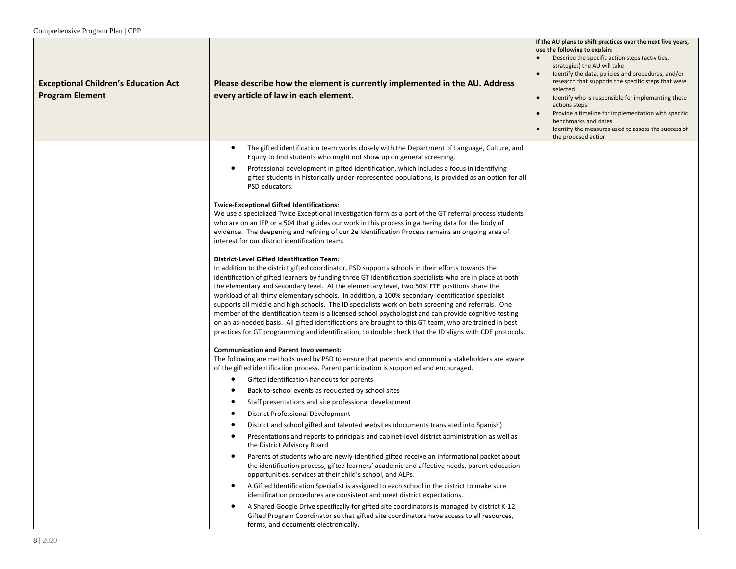| <b>Exceptional Children's Education Act</b><br><b>Program Element</b> | Please describe how the element is currently implemented in the AU. Address<br>every article of law in each element.                                                                                                                                                                                                                                                                                                                                                                                                                                                                                                                                                                                                                                                                                                                                                                                          | If the AU plans to shift practices over the next five years,<br>use the following to explain:<br>Describe the specific action steps (activities,<br>strategies) the AU will take<br>Identify the data, policies and procedures, and/or<br>research that supports the specific steps that were<br>selected<br>Identify who is responsible for implementing these<br>actions steps<br>Provide a timeline for implementation with specific<br>benchmarks and dates<br>Identify the measures used to assess the success of<br>the proposed action |
|-----------------------------------------------------------------------|---------------------------------------------------------------------------------------------------------------------------------------------------------------------------------------------------------------------------------------------------------------------------------------------------------------------------------------------------------------------------------------------------------------------------------------------------------------------------------------------------------------------------------------------------------------------------------------------------------------------------------------------------------------------------------------------------------------------------------------------------------------------------------------------------------------------------------------------------------------------------------------------------------------|-----------------------------------------------------------------------------------------------------------------------------------------------------------------------------------------------------------------------------------------------------------------------------------------------------------------------------------------------------------------------------------------------------------------------------------------------------------------------------------------------------------------------------------------------|
|                                                                       | The gifted identification team works closely with the Department of Language, Culture, and<br>$\bullet$<br>Equity to find students who might not show up on general screening.<br>Professional development in gifted identification, which includes a focus in identifying<br>$\bullet$<br>gifted students in historically under-represented populations, is provided as an option for all                                                                                                                                                                                                                                                                                                                                                                                                                                                                                                                    |                                                                                                                                                                                                                                                                                                                                                                                                                                                                                                                                               |
|                                                                       | PSD educators.<br><b>Twice-Exceptional Gifted Identifications:</b>                                                                                                                                                                                                                                                                                                                                                                                                                                                                                                                                                                                                                                                                                                                                                                                                                                            |                                                                                                                                                                                                                                                                                                                                                                                                                                                                                                                                               |
|                                                                       | We use a specialized Twice Exceptional Investigation form as a part of the GT referral process students<br>who are on an IEP or a 504 that guides our work in this process in gathering data for the body of<br>evidence. The deepening and refining of our 2e Identification Process remains an ongoing area of<br>interest for our district identification team.                                                                                                                                                                                                                                                                                                                                                                                                                                                                                                                                            |                                                                                                                                                                                                                                                                                                                                                                                                                                                                                                                                               |
|                                                                       | <b>District-Level Gifted Identification Team:</b><br>In addition to the district gifted coordinator, PSD supports schools in their efforts towards the<br>identification of gifted learners by funding three GT identification specialists who are in place at both<br>the elementary and secondary level. At the elementary level, two 50% FTE positions share the<br>workload of all thirty elementary schools. In addition, a 100% secondary identification specialist<br>supports all middle and high schools. The ID specialists work on both screening and referrals. One<br>member of the identification team is a licensed school psychologist and can provide cognitive testing<br>on an as-needed basis. All gifted identifications are brought to this GT team, who are trained in best<br>practices for GT programming and identification, to double check that the ID aligns with CDE protocols. |                                                                                                                                                                                                                                                                                                                                                                                                                                                                                                                                               |
|                                                                       | <b>Communication and Parent Involvement:</b><br>The following are methods used by PSD to ensure that parents and community stakeholders are aware<br>of the gifted identification process. Parent participation is supported and encouraged.                                                                                                                                                                                                                                                                                                                                                                                                                                                                                                                                                                                                                                                                  |                                                                                                                                                                                                                                                                                                                                                                                                                                                                                                                                               |
|                                                                       | Gifted identification handouts for parents<br>٠                                                                                                                                                                                                                                                                                                                                                                                                                                                                                                                                                                                                                                                                                                                                                                                                                                                               |                                                                                                                                                                                                                                                                                                                                                                                                                                                                                                                                               |
|                                                                       | Back-to-school events as requested by school sites<br>$\bullet$                                                                                                                                                                                                                                                                                                                                                                                                                                                                                                                                                                                                                                                                                                                                                                                                                                               |                                                                                                                                                                                                                                                                                                                                                                                                                                                                                                                                               |
|                                                                       | Staff presentations and site professional development<br>$\bullet$                                                                                                                                                                                                                                                                                                                                                                                                                                                                                                                                                                                                                                                                                                                                                                                                                                            |                                                                                                                                                                                                                                                                                                                                                                                                                                                                                                                                               |
|                                                                       | <b>District Professional Development</b><br>$\bullet$                                                                                                                                                                                                                                                                                                                                                                                                                                                                                                                                                                                                                                                                                                                                                                                                                                                         |                                                                                                                                                                                                                                                                                                                                                                                                                                                                                                                                               |
|                                                                       | District and school gifted and talented websites (documents translated into Spanish)<br>$\bullet$                                                                                                                                                                                                                                                                                                                                                                                                                                                                                                                                                                                                                                                                                                                                                                                                             |                                                                                                                                                                                                                                                                                                                                                                                                                                                                                                                                               |
|                                                                       | Presentations and reports to principals and cabinet-level district administration as well as<br>٠<br>the District Advisory Board                                                                                                                                                                                                                                                                                                                                                                                                                                                                                                                                                                                                                                                                                                                                                                              |                                                                                                                                                                                                                                                                                                                                                                                                                                                                                                                                               |
|                                                                       | Parents of students who are newly-identified gifted receive an informational packet about<br>٠<br>the identification process, gifted learners' academic and affective needs, parent education<br>opportunities, services at their child's school, and ALPs.                                                                                                                                                                                                                                                                                                                                                                                                                                                                                                                                                                                                                                                   |                                                                                                                                                                                                                                                                                                                                                                                                                                                                                                                                               |
|                                                                       | A Gifted Identification Specialist is assigned to each school in the district to make sure<br>$\bullet$<br>identification procedures are consistent and meet district expectations.                                                                                                                                                                                                                                                                                                                                                                                                                                                                                                                                                                                                                                                                                                                           |                                                                                                                                                                                                                                                                                                                                                                                                                                                                                                                                               |
|                                                                       | A Shared Google Drive specifically for gifted site coordinators is managed by district K-12<br>$\bullet$<br>Gifted Program Coordinator so that gifted site coordinators have access to all resources,<br>forms, and documents electronically.                                                                                                                                                                                                                                                                                                                                                                                                                                                                                                                                                                                                                                                                 |                                                                                                                                                                                                                                                                                                                                                                                                                                                                                                                                               |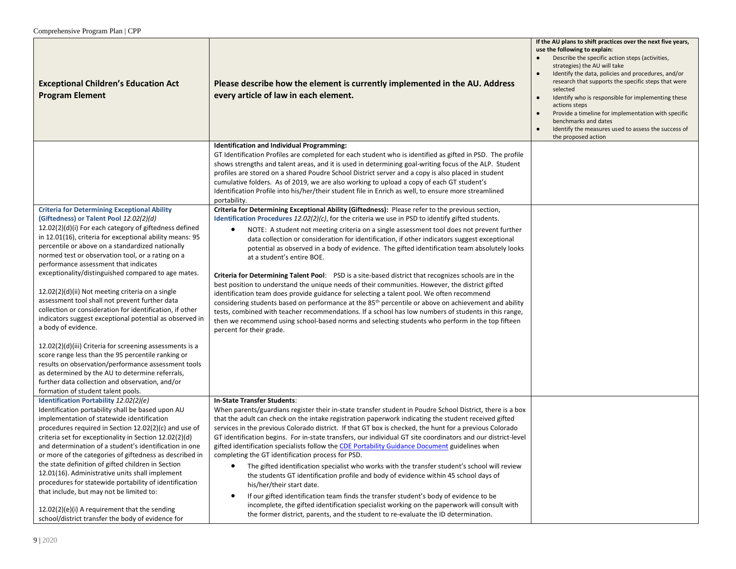| <b>Exceptional Children's Education Act</b><br><b>Program Element</b>                                                                                                                                                                                                                                                                                                                                                                                                                                                                                                                                                                                                                                                                                                                                                                                                                                                                                                                                  | Please describe how the element is currently implemented in the AU. Address<br>every article of law in each element.                                                                                                                                                                                                                                                                                                                                                                                                                                                                                                                                                                                                                                                                                                                                                                                                                                                                                                                                                                                                                                                                                                   | If the AU plans to shift practices over the next five years,<br>use the following to explain:<br>Describe the specific action steps (activities,<br>strategies) the AU will take<br>Identify the data, policies and procedures, and/or<br>research that supports the specific steps that were<br>selected<br>Identify who is responsible for implementing these<br>$\bullet$<br>actions steps<br>Provide a timeline for implementation with specific<br>benchmarks and dates<br>Identify the measures used to assess the success of<br>the proposed action |
|--------------------------------------------------------------------------------------------------------------------------------------------------------------------------------------------------------------------------------------------------------------------------------------------------------------------------------------------------------------------------------------------------------------------------------------------------------------------------------------------------------------------------------------------------------------------------------------------------------------------------------------------------------------------------------------------------------------------------------------------------------------------------------------------------------------------------------------------------------------------------------------------------------------------------------------------------------------------------------------------------------|------------------------------------------------------------------------------------------------------------------------------------------------------------------------------------------------------------------------------------------------------------------------------------------------------------------------------------------------------------------------------------------------------------------------------------------------------------------------------------------------------------------------------------------------------------------------------------------------------------------------------------------------------------------------------------------------------------------------------------------------------------------------------------------------------------------------------------------------------------------------------------------------------------------------------------------------------------------------------------------------------------------------------------------------------------------------------------------------------------------------------------------------------------------------------------------------------------------------|------------------------------------------------------------------------------------------------------------------------------------------------------------------------------------------------------------------------------------------------------------------------------------------------------------------------------------------------------------------------------------------------------------------------------------------------------------------------------------------------------------------------------------------------------------|
|                                                                                                                                                                                                                                                                                                                                                                                                                                                                                                                                                                                                                                                                                                                                                                                                                                                                                                                                                                                                        | <b>Identification and Individual Programming:</b><br>GT Identification Profiles are completed for each student who is identified as gifted in PSD. The profile<br>shows strengths and talent areas, and it is used in determining goal-writing focus of the ALP. Student<br>profiles are stored on a shared Poudre School District server and a copy is also placed in student<br>cumulative folders. As of 2019, we are also working to upload a copy of each GT student's<br>Identification Profile into his/her/their student file in Enrich as well, to ensure more streamlined<br>portability.                                                                                                                                                                                                                                                                                                                                                                                                                                                                                                                                                                                                                    |                                                                                                                                                                                                                                                                                                                                                                                                                                                                                                                                                            |
| <b>Criteria for Determining Exceptional Ability</b><br>(Giftedness) or Talent Pool 12.02(2)(d)<br>12.02(2)(d)(i) For each category of giftedness defined<br>in 12.01(16), criteria for exceptional ability means: 95<br>percentile or above on a standardized nationally<br>normed test or observation tool, or a rating on a<br>performance assessment that indicates<br>exceptionality/distinguished compared to age mates.<br>12.02(2)(d)(ii) Not meeting criteria on a single<br>assessment tool shall not prevent further data<br>collection or consideration for identification, if other<br>indicators suggest exceptional potential as observed in<br>a body of evidence.<br>12.02(2)(d)(iii) Criteria for screening assessments is a<br>score range less than the 95 percentile ranking or<br>results on observation/performance assessment tools<br>as determined by the AU to determine referrals,<br>further data collection and observation, and/or<br>formation of student talent pools. | Criteria for Determining Exceptional Ability (Giftedness): Please refer to the previous section,<br>Identification Procedures $12.02(2)(c)$ , for the criteria we use in PSD to identify gifted students.<br>NOTE: A student not meeting criteria on a single assessment tool does not prevent further<br>$\bullet$<br>data collection or consideration for identification, if other indicators suggest exceptional<br>potential as observed in a body of evidence. The gifted identification team absolutely looks<br>at a student's entire BOE.<br>Criteria for Determining Talent Pool: PSD is a site-based district that recognizes schools are in the<br>best position to understand the unique needs of their communities. However, the district gifted<br>identification team does provide guidance for selecting a talent pool. We often recommend<br>considering students based on performance at the 85 <sup>th</sup> percentile or above on achievement and ability<br>tests, combined with teacher recommendations. If a school has low numbers of students in this range,<br>then we recommend using school-based norms and selecting students who perform in the top fifteen<br>percent for their grade. |                                                                                                                                                                                                                                                                                                                                                                                                                                                                                                                                                            |
| Identification Portability 12.02(2)(e)<br>Identification portability shall be based upon AU<br>implementation of statewide identification<br>procedures required in Section 12.02(2)(c) and use of<br>criteria set for exceptionality in Section 12.02(2)(d)<br>and determination of a student's identification in one<br>or more of the categories of giftedness as described in<br>the state definition of gifted children in Section<br>12.01(16). Administrative units shall implement<br>procedures for statewide portability of identification<br>that include, but may not be limited to:<br>12.02(2)(e)(i) A requirement that the sending<br>school/district transfer the body of evidence for                                                                                                                                                                                                                                                                                                 | In-State Transfer Students:<br>When parents/guardians register their in-state transfer student in Poudre School District, there is a box<br>that the adult can check on the intake registration paperwork indicating the student received gifted<br>services in the previous Colorado district. If that GT box is checked, the hunt for a previous Colorado<br>GT identification begins. For in-state transfers, our individual GT site coordinators and our district-level<br>gifted identification specialists follow the CDE Portability Guidance Document guidelines when<br>completing the GT identification process for PSD.<br>The gifted identification specialist who works with the transfer student's school will review<br>the students GT identification profile and body of evidence within 45 school days of<br>his/her/their start date.<br>If our gifted identification team finds the transfer student's body of evidence to be<br>incomplete, the gifted identification specialist working on the paperwork will consult with<br>the former district, parents, and the student to re-evaluate the ID determination.                                                                                 |                                                                                                                                                                                                                                                                                                                                                                                                                                                                                                                                                            |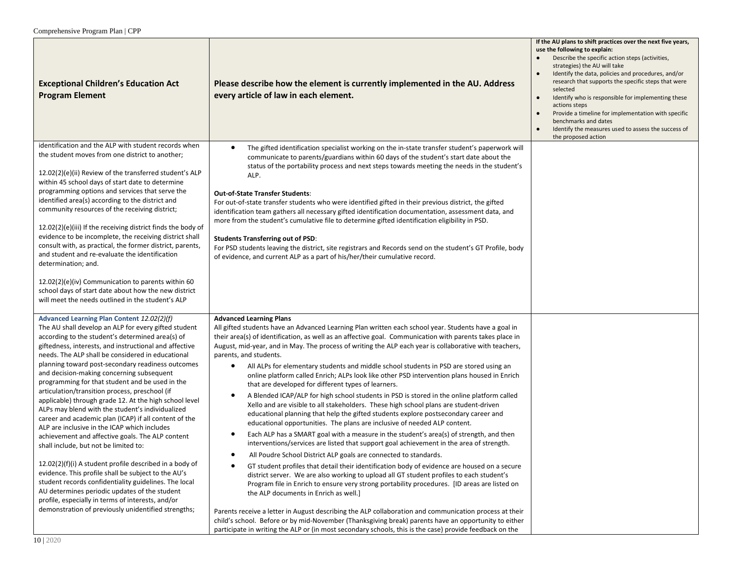| <b>Exceptional Children's Education Act</b><br><b>Program Element</b>                                                                                                                                                                                                                                                                                                                                                                                                                                                                                                                                                                                                                                                                                                                                                                                                                                                                                                                                                                                                                                                                                                                         | Please describe how the element is currently implemented in the AU. Address<br>every article of law in each element.                                                                                                                                                                                                                                                                                                                                                                                                                                                                                                                                                                                                                                                                                                                                                                                                                                                                                                                                                                                                                                                                                                                                                                                                                                                                                                                                                                                                                                                                                                                                                                                                                            | If the AU plans to shift practices over the next five years,<br>use the following to explain:<br>Describe the specific action steps (activities,<br>strategies) the AU will take<br>Identify the data, policies and procedures, and/or<br>research that supports the specific steps that were<br>selected<br>Identify who is responsible for implementing these<br>$\bullet$<br>actions steps<br>Provide a timeline for implementation with specific<br>benchmarks and dates<br>Identify the measures used to assess the success of<br>the proposed action |
|-----------------------------------------------------------------------------------------------------------------------------------------------------------------------------------------------------------------------------------------------------------------------------------------------------------------------------------------------------------------------------------------------------------------------------------------------------------------------------------------------------------------------------------------------------------------------------------------------------------------------------------------------------------------------------------------------------------------------------------------------------------------------------------------------------------------------------------------------------------------------------------------------------------------------------------------------------------------------------------------------------------------------------------------------------------------------------------------------------------------------------------------------------------------------------------------------|-------------------------------------------------------------------------------------------------------------------------------------------------------------------------------------------------------------------------------------------------------------------------------------------------------------------------------------------------------------------------------------------------------------------------------------------------------------------------------------------------------------------------------------------------------------------------------------------------------------------------------------------------------------------------------------------------------------------------------------------------------------------------------------------------------------------------------------------------------------------------------------------------------------------------------------------------------------------------------------------------------------------------------------------------------------------------------------------------------------------------------------------------------------------------------------------------------------------------------------------------------------------------------------------------------------------------------------------------------------------------------------------------------------------------------------------------------------------------------------------------------------------------------------------------------------------------------------------------------------------------------------------------------------------------------------------------------------------------------------------------|------------------------------------------------------------------------------------------------------------------------------------------------------------------------------------------------------------------------------------------------------------------------------------------------------------------------------------------------------------------------------------------------------------------------------------------------------------------------------------------------------------------------------------------------------------|
| identification and the ALP with student records when<br>the student moves from one district to another;<br>12.02(2)(e)(ii) Review of the transferred student's ALP<br>within 45 school days of start date to determine<br>programming options and services that serve the<br>identified area(s) according to the district and<br>community resources of the receiving district;<br>12.02(2)(e)(iii) If the receiving district finds the body of<br>evidence to be incomplete, the receiving district shall<br>consult with, as practical, the former district, parents,<br>and student and re-evaluate the identification<br>determination; and.<br>12.02(2)(e)(iv) Communication to parents within 60<br>school days of start date about how the new district                                                                                                                                                                                                                                                                                                                                                                                                                                | The gifted identification specialist working on the in-state transfer student's paperwork will<br>$\bullet$<br>communicate to parents/guardians within 60 days of the student's start date about the<br>status of the portability process and next steps towards meeting the needs in the student's<br>ALP.<br><b>Out-of-State Transfer Students:</b><br>For out-of-state transfer students who were identified gifted in their previous district, the gifted<br>identification team gathers all necessary gifted identification documentation, assessment data, and<br>more from the student's cumulative file to determine gifted identification eligibility in PSD.<br><b>Students Transferring out of PSD:</b><br>For PSD students leaving the district, site registrars and Records send on the student's GT Profile, body<br>of evidence, and current ALP as a part of his/her/their cumulative record.                                                                                                                                                                                                                                                                                                                                                                                                                                                                                                                                                                                                                                                                                                                                                                                                                                   |                                                                                                                                                                                                                                                                                                                                                                                                                                                                                                                                                            |
| will meet the needs outlined in the student's ALP<br>Advanced Learning Plan Content 12.02(2)(f)<br>The AU shall develop an ALP for every gifted student<br>according to the student's determined area(s) of<br>giftedness, interests, and instructional and affective<br>needs. The ALP shall be considered in educational<br>planning toward post-secondary readiness outcomes<br>and decision-making concerning subsequent<br>programming for that student and be used in the<br>articulation/transition process, preschool (if<br>applicable) through grade 12. At the high school level<br>ALPs may blend with the student's individualized<br>career and academic plan (ICAP) if all content of the<br>ALP are inclusive in the ICAP which includes<br>achievement and affective goals. The ALP content<br>shall include, but not be limited to:<br>12.02(2)(f)(i) A student profile described in a body of<br>evidence. This profile shall be subject to the AU's<br>student records confidentiality guidelines. The local<br>AU determines periodic updates of the student<br>profile, especially in terms of interests, and/or<br>demonstration of previously unidentified strengths; | <b>Advanced Learning Plans</b><br>All gifted students have an Advanced Learning Plan written each school year. Students have a goal in<br>their area(s) of identification, as well as an affective goal. Communication with parents takes place in<br>August, mid-year, and in May. The process of writing the ALP each year is collaborative with teachers,<br>parents, and students.<br>$\bullet$<br>All ALPs for elementary students and middle school students in PSD are stored using an<br>online platform called Enrich; ALPs look like other PSD intervention plans housed in Enrich<br>that are developed for different types of learners.<br>A Blended ICAP/ALP for high school students in PSD is stored in the online platform called<br>٠<br>Xello and are visible to all stakeholders. These high school plans are student-driven<br>educational planning that help the gifted students explore postsecondary career and<br>educational opportunities. The plans are inclusive of needed ALP content.<br>Each ALP has a SMART goal with a measure in the student's area(s) of strength, and then<br>$\bullet$<br>interventions/services are listed that support goal achievement in the area of strength.<br>All Poudre School District ALP goals are connected to standards.<br>GT student profiles that detail their identification body of evidence are housed on a secure<br>٠<br>district server. We are also working to upload all GT student profiles to each student's<br>Program file in Enrich to ensure very strong portability procedures. [ID areas are listed on<br>the ALP documents in Enrich as well.]<br>Parents receive a letter in August describing the ALP collaboration and communication process at their |                                                                                                                                                                                                                                                                                                                                                                                                                                                                                                                                                            |
|                                                                                                                                                                                                                                                                                                                                                                                                                                                                                                                                                                                                                                                                                                                                                                                                                                                                                                                                                                                                                                                                                                                                                                                               | child's school. Before or by mid-November (Thanksgiving break) parents have an opportunity to either<br>participate in writing the ALP or (in most secondary schools, this is the case) provide feedback on the                                                                                                                                                                                                                                                                                                                                                                                                                                                                                                                                                                                                                                                                                                                                                                                                                                                                                                                                                                                                                                                                                                                                                                                                                                                                                                                                                                                                                                                                                                                                 |                                                                                                                                                                                                                                                                                                                                                                                                                                                                                                                                                            |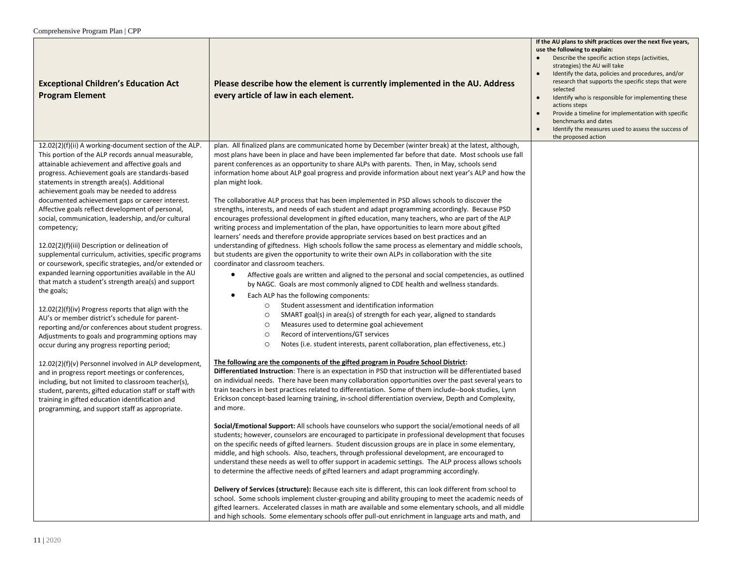| <b>Exceptional Children's Education Act</b><br><b>Program Element</b>                                                                                                                                                                                                                                                                                                                                                                                                                                                                                                                                                                                                                                                                                                                                                                                                                                                                                                                                             | Please describe how the element is currently implemented in the AU. Address<br>every article of law in each element.                                                                                                                                                                                                                                                                                                                                                                                                                                                                                                                                                                                                                                                                                                                                                                                                                                                                                                                                                                                                                                                                                                                                                                                                                                                                                                                                                                                                                                                                                                                                                                                            | If the AU plans to shift practices over the next five years,<br>use the following to explain:<br>Describe the specific action steps (activities,<br>strategies) the AU will take<br>Identify the data, policies and procedures, and/or<br>research that supports the specific steps that were<br>selected<br>Identify who is responsible for implementing these<br>$\bullet$<br>actions steps<br>Provide a timeline for implementation with specific<br>benchmarks and dates<br>Identify the measures used to assess the success of<br>the proposed action |
|-------------------------------------------------------------------------------------------------------------------------------------------------------------------------------------------------------------------------------------------------------------------------------------------------------------------------------------------------------------------------------------------------------------------------------------------------------------------------------------------------------------------------------------------------------------------------------------------------------------------------------------------------------------------------------------------------------------------------------------------------------------------------------------------------------------------------------------------------------------------------------------------------------------------------------------------------------------------------------------------------------------------|-----------------------------------------------------------------------------------------------------------------------------------------------------------------------------------------------------------------------------------------------------------------------------------------------------------------------------------------------------------------------------------------------------------------------------------------------------------------------------------------------------------------------------------------------------------------------------------------------------------------------------------------------------------------------------------------------------------------------------------------------------------------------------------------------------------------------------------------------------------------------------------------------------------------------------------------------------------------------------------------------------------------------------------------------------------------------------------------------------------------------------------------------------------------------------------------------------------------------------------------------------------------------------------------------------------------------------------------------------------------------------------------------------------------------------------------------------------------------------------------------------------------------------------------------------------------------------------------------------------------------------------------------------------------------------------------------------------------|------------------------------------------------------------------------------------------------------------------------------------------------------------------------------------------------------------------------------------------------------------------------------------------------------------------------------------------------------------------------------------------------------------------------------------------------------------------------------------------------------------------------------------------------------------|
| 12.02(2)(f)(ii) A working-document section of the ALP.<br>This portion of the ALP records annual measurable,<br>attainable achievement and affective goals and<br>progress. Achievement goals are standards-based<br>statements in strength area(s). Additional<br>achievement goals may be needed to address<br>documented achievement gaps or career interest.<br>Affective goals reflect development of personal,<br>social, communication, leadership, and/or cultural<br>competency;<br>12.02(2)(f)(iii) Description or delineation of<br>supplemental curriculum, activities, specific programs<br>or coursework, specific strategies, and/or extended or<br>expanded learning opportunities available in the AU<br>that match a student's strength area(s) and support<br>the goals;<br>12.02(2)(f)(iv) Progress reports that align with the<br>AU's or member district's schedule for parent-<br>reporting and/or conferences about student progress.<br>Adjustments to goals and programming options may | plan. All finalized plans are communicated home by December (winter break) at the latest, although,<br>most plans have been in place and have been implemented far before that date. Most schools use fall<br>parent conferences as an opportunity to share ALPs with parents. Then, in May, schools send<br>information home about ALP goal progress and provide information about next year's ALP and how the<br>plan might look.<br>The collaborative ALP process that has been implemented in PSD allows schools to discover the<br>strengths, interests, and needs of each student and adapt programming accordingly. Because PSD<br>encourages professional development in gifted education, many teachers, who are part of the ALP<br>writing process and implementation of the plan, have opportunities to learn more about gifted<br>learners' needs and therefore provide appropriate services based on best practices and an<br>understanding of giftedness. High schools follow the same process as elementary and middle schools,<br>but students are given the opportunity to write their own ALPs in collaboration with the site<br>coordinator and classroom teachers.<br>Affective goals are written and aligned to the personal and social competencies, as outlined<br>$\bullet$<br>by NAGC. Goals are most commonly aligned to CDE health and wellness standards.<br>Each ALP has the following components:<br>$\bullet$<br>Student assessment and identification information<br>$\circ$<br>SMART goal(s) in area(s) of strength for each year, aligned to standards<br>$\circ$<br>Measures used to determine goal achievement<br>$\circ$<br>Record of interventions/GT services<br>$\circ$ |                                                                                                                                                                                                                                                                                                                                                                                                                                                                                                                                                            |
| occur during any progress reporting period;<br>12.02(2)(f)(v) Personnel involved in ALP development,<br>and in progress report meetings or conferences,<br>including, but not limited to classroom teacher(s),<br>student, parents, gifted education staff or staff with<br>training in gifted education identification and<br>programming, and support staff as appropriate.                                                                                                                                                                                                                                                                                                                                                                                                                                                                                                                                                                                                                                     | Notes (i.e. student interests, parent collaboration, plan effectiveness, etc.)<br>$\circ$<br>The following are the components of the gifted program in Poudre School District:<br>Differentiated Instruction: There is an expectation in PSD that instruction will be differentiated based<br>on individual needs. There have been many collaboration opportunities over the past several years to<br>train teachers in best practices related to differentiation. Some of them include--book studies, Lynn<br>Erickson concept-based learning training, in-school differentiation overview, Depth and Complexity,<br>and more.<br>Social/Emotional Support: All schools have counselors who support the social/emotional needs of all<br>students; however, counselors are encouraged to participate in professional development that focuses<br>on the specific needs of gifted learners. Student discussion groups are in place in some elementary,<br>middle, and high schools. Also, teachers, through professional development, are encouraged to<br>understand these needs as well to offer support in academic settings. The ALP process allows schools<br>to determine the affective needs of gifted learners and adapt programming accordingly.<br>Delivery of Services (structure): Because each site is different, this can look different from school to<br>school. Some schools implement cluster-grouping and ability grouping to meet the academic needs of<br>gifted learners. Accelerated classes in math are available and some elementary schools, and all middle<br>and high schools. Some elementary schools offer pull-out enrichment in language arts and math, and                     |                                                                                                                                                                                                                                                                                                                                                                                                                                                                                                                                                            |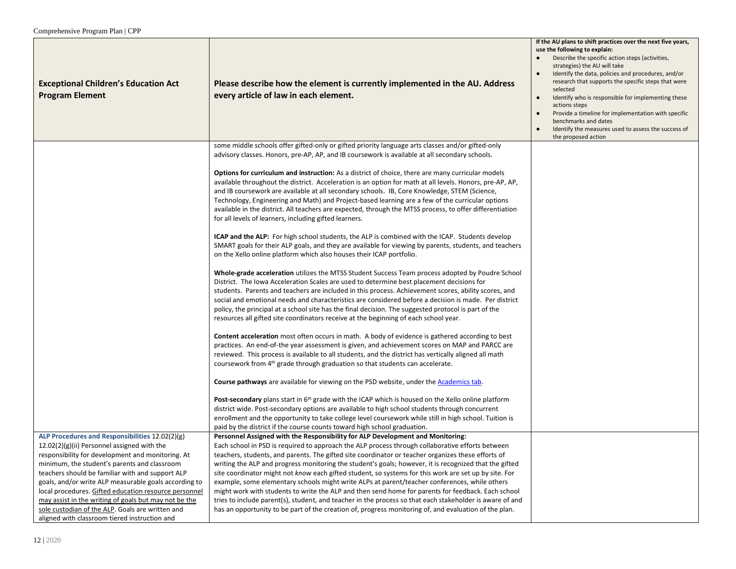| <b>Exceptional Children's Education Act</b><br><b>Program Element</b>                                          | Please describe how the element is currently implemented in the AU. Address<br>every article of law in each element.                                                                                                                                                                                                                                                                                                                                                                                                                                                                                                  | If the AU plans to shift practices over the next five years,<br>use the following to explain:<br>Describe the specific action steps (activities,<br>strategies) the AU will take<br>Identify the data, policies and procedures, and/or<br>research that supports the specific steps that were<br>selected<br>$\bullet$<br>Identify who is responsible for implementing these<br>actions steps<br>Provide a timeline for implementation with specific<br>benchmarks and dates<br>Identify the measures used to assess the success of<br>$\bullet$<br>the proposed action |
|----------------------------------------------------------------------------------------------------------------|-----------------------------------------------------------------------------------------------------------------------------------------------------------------------------------------------------------------------------------------------------------------------------------------------------------------------------------------------------------------------------------------------------------------------------------------------------------------------------------------------------------------------------------------------------------------------------------------------------------------------|-------------------------------------------------------------------------------------------------------------------------------------------------------------------------------------------------------------------------------------------------------------------------------------------------------------------------------------------------------------------------------------------------------------------------------------------------------------------------------------------------------------------------------------------------------------------------|
|                                                                                                                | some middle schools offer gifted-only or gifted priority language arts classes and/or gifted-only<br>advisory classes. Honors, pre-AP, AP, and IB coursework is available at all secondary schools.                                                                                                                                                                                                                                                                                                                                                                                                                   |                                                                                                                                                                                                                                                                                                                                                                                                                                                                                                                                                                         |
|                                                                                                                | Options for curriculum and instruction: As a district of choice, there are many curricular models<br>available throughout the district. Acceleration is an option for math at all levels. Honors, pre-AP, AP,<br>and IB coursework are available at all secondary schools. IB, Core Knowledge, STEM (Science,<br>Technology, Engineering and Math) and Project-based learning are a few of the curricular options<br>available in the district. All teachers are expected, through the MTSS process, to offer differentiation<br>for all levels of learners, including gifted learners.                               |                                                                                                                                                                                                                                                                                                                                                                                                                                                                                                                                                                         |
|                                                                                                                | ICAP and the ALP: For high school students, the ALP is combined with the ICAP. Students develop<br>SMART goals for their ALP goals, and they are available for viewing by parents, students, and teachers<br>on the Xello online platform which also houses their ICAP portfolio.                                                                                                                                                                                                                                                                                                                                     |                                                                                                                                                                                                                                                                                                                                                                                                                                                                                                                                                                         |
|                                                                                                                | <b>Whole-grade acceleration</b> utilizes the MTSS Student Success Team process adopted by Poudre School<br>District. The Iowa Acceleration Scales are used to determine best placement decisions for<br>students. Parents and teachers are included in this process. Achievement scores, ability scores, and<br>social and emotional needs and characteristics are considered before a decision is made. Per district<br>policy, the principal at a school site has the final decision. The suggested protocol is part of the<br>resources all gifted site coordinators receive at the beginning of each school year. |                                                                                                                                                                                                                                                                                                                                                                                                                                                                                                                                                                         |
|                                                                                                                | <b>Content acceleration</b> most often occurs in math. A body of evidence is gathered according to best<br>practices. An end-of-the year assessment is given, and achievement scores on MAP and PARCC are<br>reviewed. This process is available to all students, and the district has vertically aligned all math<br>coursework from 4 <sup>th</sup> grade through graduation so that students can accelerate.                                                                                                                                                                                                       |                                                                                                                                                                                                                                                                                                                                                                                                                                                                                                                                                                         |
|                                                                                                                | Course pathways are available for viewing on the PSD website, under the Academics tab.                                                                                                                                                                                                                                                                                                                                                                                                                                                                                                                                |                                                                                                                                                                                                                                                                                                                                                                                                                                                                                                                                                                         |
|                                                                                                                | Post-secondary plans start in 6 <sup>th</sup> grade with the ICAP which is housed on the Xello online platform<br>district wide. Post-secondary options are available to high school students through concurrent<br>enrollment and the opportunity to take college level coursework while still in high school. Tuition is<br>paid by the district if the course counts toward high school graduation.                                                                                                                                                                                                                |                                                                                                                                                                                                                                                                                                                                                                                                                                                                                                                                                                         |
| ALP Procedures and Responsibilities 12.02(2)(g)                                                                | Personnel Assigned with the Responsibility for ALP Development and Monitoring:                                                                                                                                                                                                                                                                                                                                                                                                                                                                                                                                        |                                                                                                                                                                                                                                                                                                                                                                                                                                                                                                                                                                         |
| 12.02(2)(g)(ii) Personnel assigned with the<br>responsibility for development and monitoring. At               | Each school in PSD is required to approach the ALP process through collaborative efforts between<br>teachers, students, and parents. The gifted site coordinator or teacher organizes these efforts of                                                                                                                                                                                                                                                                                                                                                                                                                |                                                                                                                                                                                                                                                                                                                                                                                                                                                                                                                                                                         |
| minimum, the student's parents and classroom                                                                   | writing the ALP and progress monitoring the student's goals; however, it is recognized that the gifted                                                                                                                                                                                                                                                                                                                                                                                                                                                                                                                |                                                                                                                                                                                                                                                                                                                                                                                                                                                                                                                                                                         |
| teachers should be familiar with and support ALP                                                               | site coordinator might not know each gifted student, so systems for this work are set up by site. For                                                                                                                                                                                                                                                                                                                                                                                                                                                                                                                 |                                                                                                                                                                                                                                                                                                                                                                                                                                                                                                                                                                         |
| goals, and/or write ALP measurable goals according to<br>local procedures. Gifted education resource personnel | example, some elementary schools might write ALPs at parent/teacher conferences, while others<br>might work with students to write the ALP and then send home for parents for feedback. Each school                                                                                                                                                                                                                                                                                                                                                                                                                   |                                                                                                                                                                                                                                                                                                                                                                                                                                                                                                                                                                         |
| may assist in the writing of goals but may not be the                                                          | tries to include parent(s), student, and teacher in the process so that each stakeholder is aware of and                                                                                                                                                                                                                                                                                                                                                                                                                                                                                                              |                                                                                                                                                                                                                                                                                                                                                                                                                                                                                                                                                                         |
| sole custodian of the ALP. Goals are written and<br>aligned with classroom tiered instruction and              | has an opportunity to be part of the creation of, progress monitoring of, and evaluation of the plan.                                                                                                                                                                                                                                                                                                                                                                                                                                                                                                                 |                                                                                                                                                                                                                                                                                                                                                                                                                                                                                                                                                                         |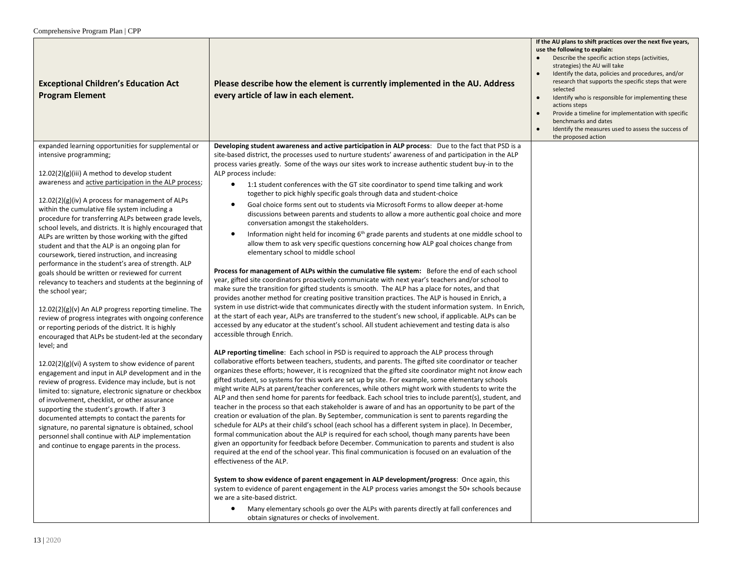| <b>Exceptional Children's Education Act</b><br><b>Program Element</b>                                                                                                                                                                                                                                                                                                                                                                                                                                                                                                                                                                                                                                                                                                                                                                                                                                                                    | Please describe how the element is currently implemented in the AU. Address<br>every article of law in each element.                                                                                                                                                                                                                                                                                                                                                                                                                                                                                                                                                                                                                                                                                                                                                                                                                                                                                                                                                                                                                                                                                                                                                                                                                                                                                                                                                                                                                                                                        | If the AU plans to shift practices over the next five years,<br>use the following to explain:<br>Describe the specific action steps (activities,<br>strategies) the AU will take<br>Identify the data, policies and procedures, and/or<br>research that supports the specific steps that were<br>selected<br>Identify who is responsible for implementing these<br>$\bullet$<br>actions steps<br>Provide a timeline for implementation with specific<br>benchmarks and dates<br>Identify the measures used to assess the success of<br>the proposed action |
|------------------------------------------------------------------------------------------------------------------------------------------------------------------------------------------------------------------------------------------------------------------------------------------------------------------------------------------------------------------------------------------------------------------------------------------------------------------------------------------------------------------------------------------------------------------------------------------------------------------------------------------------------------------------------------------------------------------------------------------------------------------------------------------------------------------------------------------------------------------------------------------------------------------------------------------|---------------------------------------------------------------------------------------------------------------------------------------------------------------------------------------------------------------------------------------------------------------------------------------------------------------------------------------------------------------------------------------------------------------------------------------------------------------------------------------------------------------------------------------------------------------------------------------------------------------------------------------------------------------------------------------------------------------------------------------------------------------------------------------------------------------------------------------------------------------------------------------------------------------------------------------------------------------------------------------------------------------------------------------------------------------------------------------------------------------------------------------------------------------------------------------------------------------------------------------------------------------------------------------------------------------------------------------------------------------------------------------------------------------------------------------------------------------------------------------------------------------------------------------------------------------------------------------------|------------------------------------------------------------------------------------------------------------------------------------------------------------------------------------------------------------------------------------------------------------------------------------------------------------------------------------------------------------------------------------------------------------------------------------------------------------------------------------------------------------------------------------------------------------|
| expanded learning opportunities for supplemental or<br>intensive programming;                                                                                                                                                                                                                                                                                                                                                                                                                                                                                                                                                                                                                                                                                                                                                                                                                                                            | Developing student awareness and active participation in ALP process: Due to the fact that PSD is a<br>site-based district, the processes used to nurture students' awareness of and participation in the ALP<br>process varies greatly. Some of the ways our sites work to increase authentic student buy-in to the                                                                                                                                                                                                                                                                                                                                                                                                                                                                                                                                                                                                                                                                                                                                                                                                                                                                                                                                                                                                                                                                                                                                                                                                                                                                        |                                                                                                                                                                                                                                                                                                                                                                                                                                                                                                                                                            |
| $12.02(2)(g)(iii)$ A method to develop student<br>awareness and active participation in the ALP process;<br>$12.02(2)(g)(iv)$ A process for management of ALPs<br>within the cumulative file system including a<br>procedure for transferring ALPs between grade levels,<br>school levels, and districts. It is highly encouraged that<br>ALPs are written by those working with the gifted<br>student and that the ALP is an ongoing plan for<br>coursework, tiered instruction, and increasing<br>performance in the student's area of strength. ALP<br>goals should be written or reviewed for current<br>relevancy to teachers and students at the beginning of<br>the school year;<br>$12.02(2)(g)(v)$ An ALP progress reporting timeline. The<br>review of progress integrates with ongoing conference<br>or reporting periods of the district. It is highly<br>encouraged that ALPs be student-led at the secondary<br>level; and | ALP process include:<br>1:1 student conferences with the GT site coordinator to spend time talking and work<br>$\bullet$<br>together to pick highly specific goals through data and student-choice<br>Goal choice forms sent out to students via Microsoft Forms to allow deeper at-home<br>٠<br>discussions between parents and students to allow a more authentic goal choice and more<br>conversation amongst the stakeholders.<br>Information night held for incoming $6th$ grade parents and students at one middle school to<br>$\bullet$<br>allow them to ask very specific questions concerning how ALP goal choices change from<br>elementary school to middle school<br>Process for management of ALPs within the cumulative file system: Before the end of each school<br>year, gifted site coordinators proactively communicate with next year's teachers and/or school to<br>make sure the transition for gifted students is smooth. The ALP has a place for notes, and that<br>provides another method for creating positive transition practices. The ALP is housed in Enrich, a<br>system in use district-wide that communicates directly with the student information system. In Enrich,<br>at the start of each year, ALPs are transferred to the student's new school, if applicable. ALPs can be<br>accessed by any educator at the student's school. All student achievement and testing data is also<br>accessible through Enrich.<br>ALP reporting timeline: Each school in PSD is required to approach the ALP process through                                      |                                                                                                                                                                                                                                                                                                                                                                                                                                                                                                                                                            |
| $12.02(2)(g)(vi)$ A system to show evidence of parent<br>engagement and input in ALP development and in the<br>review of progress. Evidence may include, but is not<br>limited to: signature, electronic signature or checkbox<br>of involvement, checklist, or other assurance<br>supporting the student's growth. If after 3<br>documented attempts to contact the parents for<br>signature, no parental signature is obtained, school<br>personnel shall continue with ALP implementation<br>and continue to engage parents in the process.                                                                                                                                                                                                                                                                                                                                                                                           | collaborative efforts between teachers, students, and parents. The gifted site coordinator or teacher<br>organizes these efforts; however, it is recognized that the gifted site coordinator might not know each<br>gifted student, so systems for this work are set up by site. For example, some elementary schools<br>might write ALPs at parent/teacher conferences, while others might work with students to write the<br>ALP and then send home for parents for feedback. Each school tries to include parent(s), student, and<br>teacher in the process so that each stakeholder is aware of and has an opportunity to be part of the<br>creation or evaluation of the plan. By September, communication is sent to parents regarding the<br>schedule for ALPs at their child's school (each school has a different system in place). In December,<br>formal communication about the ALP is required for each school, though many parents have been<br>given an opportunity for feedback before December. Communication to parents and student is also<br>required at the end of the school year. This final communication is focused on an evaluation of the<br>effectiveness of the ALP.<br>System to show evidence of parent engagement in ALP development/progress: Once again, this<br>system to evidence of parent engagement in the ALP process varies amongst the 50+ schools because<br>we are a site-based district.<br>$\bullet$<br>Many elementary schools go over the ALPs with parents directly at fall conferences and<br>obtain signatures or checks of involvement. |                                                                                                                                                                                                                                                                                                                                                                                                                                                                                                                                                            |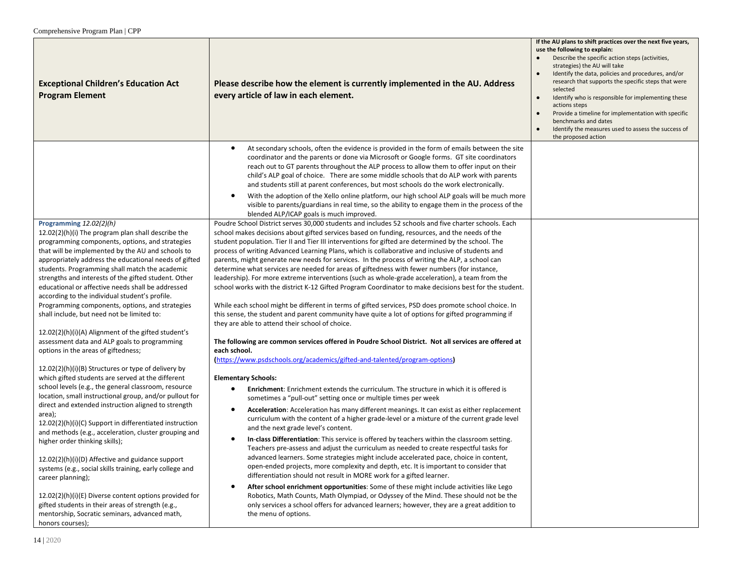| <b>Exceptional Children's Education Act</b><br><b>Program Element</b>                                                                                                                                                                                                                                                                                                                                                                                                                                                                                                                                                                                                                                                                                                                                                                                                                                 | Please describe how the element is currently implemented in the AU. Address<br>every article of law in each element.                                                                                                                                                                                                                                                                                                                                                                                                                                                                                                                                                                                                                                                                                                                                                                                                                                                                                                                                                                                                                                                                                                                                                                                                                                                                                                              | If the AU plans to shift practices over the next five years,<br>use the following to explain:<br>Describe the specific action steps (activities,<br>strategies) the AU will take<br>Identify the data, policies and procedures, and/or<br>research that supports the specific steps that were<br>selected<br>Identify who is responsible for implementing these<br>actions steps<br>Provide a timeline for implementation with specific<br>benchmarks and dates<br>Identify the measures used to assess the success of<br>the proposed action |
|-------------------------------------------------------------------------------------------------------------------------------------------------------------------------------------------------------------------------------------------------------------------------------------------------------------------------------------------------------------------------------------------------------------------------------------------------------------------------------------------------------------------------------------------------------------------------------------------------------------------------------------------------------------------------------------------------------------------------------------------------------------------------------------------------------------------------------------------------------------------------------------------------------|-----------------------------------------------------------------------------------------------------------------------------------------------------------------------------------------------------------------------------------------------------------------------------------------------------------------------------------------------------------------------------------------------------------------------------------------------------------------------------------------------------------------------------------------------------------------------------------------------------------------------------------------------------------------------------------------------------------------------------------------------------------------------------------------------------------------------------------------------------------------------------------------------------------------------------------------------------------------------------------------------------------------------------------------------------------------------------------------------------------------------------------------------------------------------------------------------------------------------------------------------------------------------------------------------------------------------------------------------------------------------------------------------------------------------------------|-----------------------------------------------------------------------------------------------------------------------------------------------------------------------------------------------------------------------------------------------------------------------------------------------------------------------------------------------------------------------------------------------------------------------------------------------------------------------------------------------------------------------------------------------|
|                                                                                                                                                                                                                                                                                                                                                                                                                                                                                                                                                                                                                                                                                                                                                                                                                                                                                                       | At secondary schools, often the evidence is provided in the form of emails between the site<br>٠<br>coordinator and the parents or done via Microsoft or Google forms. GT site coordinators<br>reach out to GT parents throughout the ALP process to allow them to offer input on their<br>child's ALP goal of choice. There are some middle schools that do ALP work with parents<br>and students still at parent conferences, but most schools do the work electronically.<br>With the adoption of the Xello online platform, our high school ALP goals will be much more<br>$\bullet$<br>visible to parents/guardians in real time, so the ability to engage them in the process of the<br>blended ALP/ICAP goals is much improved.                                                                                                                                                                                                                                                                                                                                                                                                                                                                                                                                                                                                                                                                                            |                                                                                                                                                                                                                                                                                                                                                                                                                                                                                                                                               |
| Programming 12.02(2)(h)<br>12.02(2)(h)(i) The program plan shall describe the<br>programming components, options, and strategies<br>that will be implemented by the AU and schools to<br>appropriately address the educational needs of gifted<br>students. Programming shall match the academic<br>strengths and interests of the gifted student. Other<br>educational or affective needs shall be addressed<br>according to the individual student's profile.<br>Programming components, options, and strategies<br>shall include, but need not be limited to:                                                                                                                                                                                                                                                                                                                                      | Poudre School District serves 30,000 students and includes 52 schools and five charter schools. Each<br>school makes decisions about gifted services based on funding, resources, and the needs of the<br>student population. Tier II and Tier III interventions for gifted are determined by the school. The<br>process of writing Advanced Learning Plans, which is collaborative and inclusive of students and<br>parents, might generate new needs for services. In the process of writing the ALP, a school can<br>determine what services are needed for areas of giftedness with fewer numbers (for instance,<br>leadership). For more extreme interventions (such as whole-grade acceleration), a team from the<br>school works with the district K-12 Gifted Program Coordinator to make decisions best for the student.<br>While each school might be different in terms of gifted services, PSD does promote school choice. In<br>this sense, the student and parent community have quite a lot of options for gifted programming if<br>they are able to attend their school of choice.                                                                                                                                                                                                                                                                                                                                |                                                                                                                                                                                                                                                                                                                                                                                                                                                                                                                                               |
| 12.02(2)(h)(i)(A) Alignment of the gifted student's<br>assessment data and ALP goals to programming<br>options in the areas of giftedness;<br>12.02(2)(h)(i)(B) Structures or type of delivery by<br>which gifted students are served at the different<br>school levels (e.g., the general classroom, resource<br>location, small instructional group, and/or pullout for<br>direct and extended instruction aligned to strength<br>area);<br>12.02(2)(h)(i)(C) Support in differentiated instruction<br>and methods (e.g., acceleration, cluster grouping and<br>higher order thinking skills);<br>12.02(2)(h)(i)(D) Affective and guidance support<br>systems (e.g., social skills training, early college and<br>career planning);<br>12.02(2)(h)(i)(E) Diverse content options provided for<br>gifted students in their areas of strength (e.g.,<br>mentorship, Socratic seminars, advanced math, | The following are common services offered in Poudre School District. Not all services are offered at<br>each school.<br>(https://www.psdschools.org/academics/gifted-and-talented/program-options)<br><b>Elementary Schools:</b><br>Enrichment: Enrichment extends the curriculum. The structure in which it is offered is<br>$\bullet$<br>sometimes a "pull-out" setting once or multiple times per week<br>Acceleration: Acceleration has many different meanings. It can exist as either replacement<br>٠<br>curriculum with the content of a higher grade-level or a mixture of the current grade level<br>and the next grade level's content.<br>In-class Differentiation: This service is offered by teachers within the classroom setting.<br>٠<br>Teachers pre-assess and adjust the curriculum as needed to create respectful tasks for<br>advanced learners. Some strategies might include accelerated pace, choice in content,<br>open-ended projects, more complexity and depth, etc. It is important to consider that<br>differentiation should not result in MORE work for a gifted learner.<br>After school enrichment opportunities: Some of these might include activities like Lego<br>$\bullet$<br>Robotics, Math Counts, Math Olympiad, or Odyssey of the Mind. These should not be the<br>only services a school offers for advanced learners; however, they are a great addition to<br>the menu of options. |                                                                                                                                                                                                                                                                                                                                                                                                                                                                                                                                               |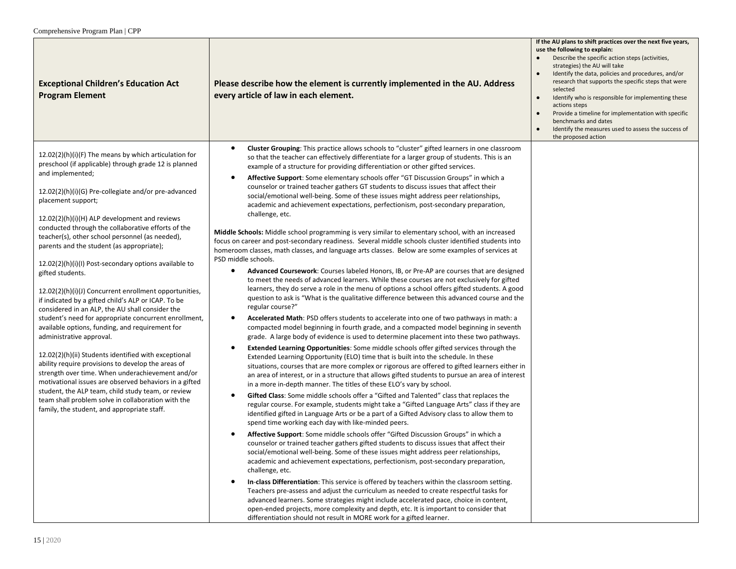| <b>Exceptional Children's Education Act</b><br><b>Program Element</b>                                                                                                                                                                                                                                                                | Please describe how the element is currently implemented in the AU. Address<br>every article of law in each element.                                                                                                                                                                                                                                                                                                                                                                                                                                                            | If the AU plans to shift practices over the next five years,<br>use the following to explain:<br>Describe the specific action steps (activities,<br>strategies) the AU will take<br>Identify the data, policies and procedures, and/or<br>research that supports the specific steps that were<br>selected<br>Identify who is responsible for implementing these<br>$\bullet$<br>actions steps<br>Provide a timeline for implementation with specific<br>benchmarks and dates<br>Identify the measures used to assess the success of<br>the proposed action |
|--------------------------------------------------------------------------------------------------------------------------------------------------------------------------------------------------------------------------------------------------------------------------------------------------------------------------------------|---------------------------------------------------------------------------------------------------------------------------------------------------------------------------------------------------------------------------------------------------------------------------------------------------------------------------------------------------------------------------------------------------------------------------------------------------------------------------------------------------------------------------------------------------------------------------------|------------------------------------------------------------------------------------------------------------------------------------------------------------------------------------------------------------------------------------------------------------------------------------------------------------------------------------------------------------------------------------------------------------------------------------------------------------------------------------------------------------------------------------------------------------|
| 12.02(2)(h)(i)(F) The means by which articulation for<br>preschool (if applicable) through grade 12 is planned                                                                                                                                                                                                                       | Cluster Grouping: This practice allows schools to "cluster" gifted learners in one classroom<br>$\bullet$<br>so that the teacher can effectively differentiate for a larger group of students. This is an<br>example of a structure for providing differentiation or other gifted services.                                                                                                                                                                                                                                                                                     |                                                                                                                                                                                                                                                                                                                                                                                                                                                                                                                                                            |
| and implemented;<br>12.02(2)(h)(i)(G) Pre-collegiate and/or pre-advanced<br>placement support;                                                                                                                                                                                                                                       | Affective Support: Some elementary schools offer "GT Discussion Groups" in which a<br>$\bullet$<br>counselor or trained teacher gathers GT students to discuss issues that affect their<br>social/emotional well-being. Some of these issues might address peer relationships,<br>academic and achievement expectations, perfectionism, post-secondary preparation,                                                                                                                                                                                                             |                                                                                                                                                                                                                                                                                                                                                                                                                                                                                                                                                            |
| $12.02(2)(h)(i)(H)$ ALP development and reviews<br>conducted through the collaborative efforts of the<br>teacher(s), other school personnel (as needed),<br>parents and the student (as appropriate);                                                                                                                                | challenge, etc.<br>Middle Schools: Middle school programming is very similar to elementary school, with an increased<br>focus on career and post-secondary readiness. Several middle schools cluster identified students into<br>homeroom classes, math classes, and language arts classes. Below are some examples of services at<br>PSD middle schools.                                                                                                                                                                                                                       |                                                                                                                                                                                                                                                                                                                                                                                                                                                                                                                                                            |
| $12.02(2)(h)(i)(l)$ Post-secondary options available to<br>gifted students.<br>12.02(2)(h)(i)(J) Concurrent enrollment opportunities,<br>if indicated by a gifted child's ALP or ICAP. To be<br>considered in an ALP, the AU shall consider the                                                                                      | Advanced Coursework: Courses labeled Honors, IB, or Pre-AP are courses that are designed<br>$\bullet$<br>to meet the needs of advanced learners. While these courses are not exclusively for gifted<br>learners, they do serve a role in the menu of options a school offers gifted students. A good<br>question to ask is "What is the qualitative difference between this advanced course and the<br>regular course?"                                                                                                                                                         |                                                                                                                                                                                                                                                                                                                                                                                                                                                                                                                                                            |
| student's need for appropriate concurrent enrollment,<br>available options, funding, and requirement for<br>administrative approval.                                                                                                                                                                                                 | Accelerated Math: PSD offers students to accelerate into one of two pathways in math: a<br>٠<br>compacted model beginning in fourth grade, and a compacted model beginning in seventh<br>grade. A large body of evidence is used to determine placement into these two pathways.                                                                                                                                                                                                                                                                                                |                                                                                                                                                                                                                                                                                                                                                                                                                                                                                                                                                            |
| 12.02(2)(h)(ii) Students identified with exceptional<br>ability require provisions to develop the areas of<br>strength over time. When underachievement and/or<br>motivational issues are observed behaviors in a gifted<br>student, the ALP team, child study team, or review<br>team shall problem solve in collaboration with the | Extended Learning Opportunities: Some middle schools offer gifted services through the<br>$\bullet$<br>Extended Learning Opportunity (ELO) time that is built into the schedule. In these<br>situations, courses that are more complex or rigorous are offered to gifted learners either in<br>an area of interest, or in a structure that allows gifted students to pursue an area of interest<br>in a more in-depth manner. The titles of these ELO's vary by school.<br>Gifted Class: Some middle schools offer a "Gifted and Talented" class that replaces the<br>$\bullet$ |                                                                                                                                                                                                                                                                                                                                                                                                                                                                                                                                                            |
| family, the student, and appropriate staff.                                                                                                                                                                                                                                                                                          | regular course. For example, students might take a "Gifted Language Arts" class if they are<br>identified gifted in Language Arts or be a part of a Gifted Advisory class to allow them to<br>spend time working each day with like-minded peers.                                                                                                                                                                                                                                                                                                                               |                                                                                                                                                                                                                                                                                                                                                                                                                                                                                                                                                            |
|                                                                                                                                                                                                                                                                                                                                      | Affective Support: Some middle schools offer "Gifted Discussion Groups" in which a<br>٠<br>counselor or trained teacher gathers gifted students to discuss issues that affect their<br>social/emotional well-being. Some of these issues might address peer relationships,<br>academic and achievement expectations, perfectionism, post-secondary preparation,<br>challenge, etc.                                                                                                                                                                                              |                                                                                                                                                                                                                                                                                                                                                                                                                                                                                                                                                            |
|                                                                                                                                                                                                                                                                                                                                      | In-class Differentiation: This service is offered by teachers within the classroom setting.<br>$\bullet$<br>Teachers pre-assess and adjust the curriculum as needed to create respectful tasks for<br>advanced learners. Some strategies might include accelerated pace, choice in content,<br>open-ended projects, more complexity and depth, etc. It is important to consider that<br>differentiation should not result in MORE work for a gifted learner.                                                                                                                    |                                                                                                                                                                                                                                                                                                                                                                                                                                                                                                                                                            |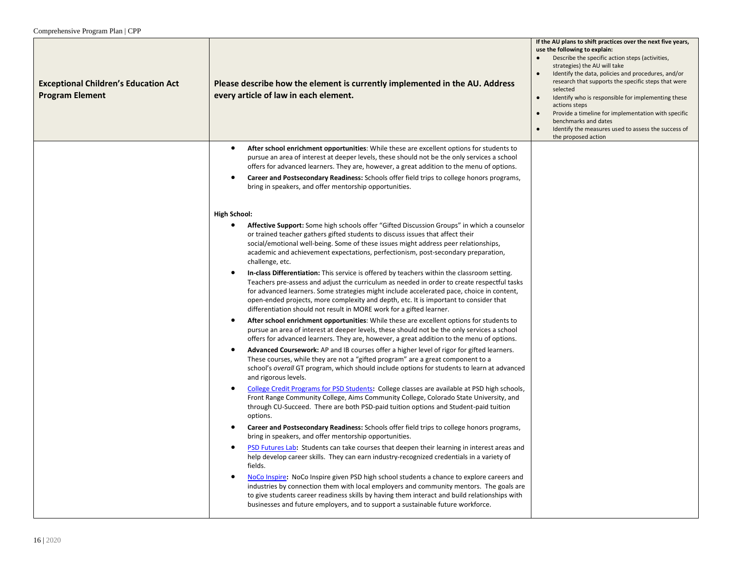| <b>Exceptional Children's Education Act</b><br><b>Program Element</b> | Please describe how the element is currently implemented in the AU. Address<br>every article of law in each element.                                                                                                                                                                                                                                                                                                                                          | If the AU plans to shift practices over the next five years,<br>use the following to explain:<br>Describe the specific action steps (activities,<br>strategies) the AU will take<br>Identify the data, policies and procedures, and/or<br>research that supports the specific steps that were<br>selected<br>Identify who is responsible for implementing these<br>$\bullet$<br>actions steps<br>Provide a timeline for implementation with specific<br>benchmarks and dates<br>Identify the measures used to assess the success of<br>the proposed action |
|-----------------------------------------------------------------------|---------------------------------------------------------------------------------------------------------------------------------------------------------------------------------------------------------------------------------------------------------------------------------------------------------------------------------------------------------------------------------------------------------------------------------------------------------------|------------------------------------------------------------------------------------------------------------------------------------------------------------------------------------------------------------------------------------------------------------------------------------------------------------------------------------------------------------------------------------------------------------------------------------------------------------------------------------------------------------------------------------------------------------|
|                                                                       | $\bullet$<br>After school enrichment opportunities: While these are excellent options for students to<br>pursue an area of interest at deeper levels, these should not be the only services a school<br>offers for advanced learners. They are, however, a great addition to the menu of options.                                                                                                                                                             |                                                                                                                                                                                                                                                                                                                                                                                                                                                                                                                                                            |
|                                                                       | Career and Postsecondary Readiness: Schools offer field trips to college honors programs,<br>$\bullet$<br>bring in speakers, and offer mentorship opportunities.                                                                                                                                                                                                                                                                                              |                                                                                                                                                                                                                                                                                                                                                                                                                                                                                                                                                            |
|                                                                       | <b>High School:</b>                                                                                                                                                                                                                                                                                                                                                                                                                                           |                                                                                                                                                                                                                                                                                                                                                                                                                                                                                                                                                            |
|                                                                       | $\bullet$<br>Affective Support: Some high schools offer "Gifted Discussion Groups" in which a counselor<br>or trained teacher gathers gifted students to discuss issues that affect their<br>social/emotional well-being. Some of these issues might address peer relationships,<br>academic and achievement expectations, perfectionism, post-secondary preparation,<br>challenge, etc.                                                                      |                                                                                                                                                                                                                                                                                                                                                                                                                                                                                                                                                            |
|                                                                       | In-class Differentiation: This service is offered by teachers within the classroom setting.<br>٠<br>Teachers pre-assess and adjust the curriculum as needed in order to create respectful tasks<br>for advanced learners. Some strategies might include accelerated pace, choice in content,<br>open-ended projects, more complexity and depth, etc. It is important to consider that<br>differentiation should not result in MORE work for a gifted learner. |                                                                                                                                                                                                                                                                                                                                                                                                                                                                                                                                                            |
|                                                                       | After school enrichment opportunities: While these are excellent options for students to<br>$\bullet$<br>pursue an area of interest at deeper levels, these should not be the only services a school<br>offers for advanced learners. They are, however, a great addition to the menu of options.                                                                                                                                                             |                                                                                                                                                                                                                                                                                                                                                                                                                                                                                                                                                            |
|                                                                       | Advanced Coursework: AP and IB courses offer a higher level of rigor for gifted learners.<br>$\bullet$<br>These courses, while they are not a "gifted program" are a great component to a<br>school's overall GT program, which should include options for students to learn at advanced<br>and rigorous levels.                                                                                                                                              |                                                                                                                                                                                                                                                                                                                                                                                                                                                                                                                                                            |
|                                                                       | College Credit Programs for PSD Students: College classes are available at PSD high schools,<br>٠<br>Front Range Community College, Aims Community College, Colorado State University, and<br>through CU-Succeed. There are both PSD-paid tuition options and Student-paid tuition<br>options.                                                                                                                                                                |                                                                                                                                                                                                                                                                                                                                                                                                                                                                                                                                                            |
|                                                                       | Career and Postsecondary Readiness: Schools offer field trips to college honors programs,<br>$\bullet$<br>bring in speakers, and offer mentorship opportunities.                                                                                                                                                                                                                                                                                              |                                                                                                                                                                                                                                                                                                                                                                                                                                                                                                                                                            |
|                                                                       | PSD Futures Lab: Students can take courses that deepen their learning in interest areas and<br>$\bullet$<br>help develop career skills. They can earn industry-recognized credentials in a variety of<br>fields.                                                                                                                                                                                                                                              |                                                                                                                                                                                                                                                                                                                                                                                                                                                                                                                                                            |
|                                                                       | NoCo Inspire: NoCo Inspire given PSD high school students a chance to explore careers and<br>$\bullet$<br>industries by connection them with local employers and community mentors. The goals are<br>to give students career readiness skills by having them interact and build relationships with<br>businesses and future employers, and to support a sustainable future workforce.                                                                         |                                                                                                                                                                                                                                                                                                                                                                                                                                                                                                                                                            |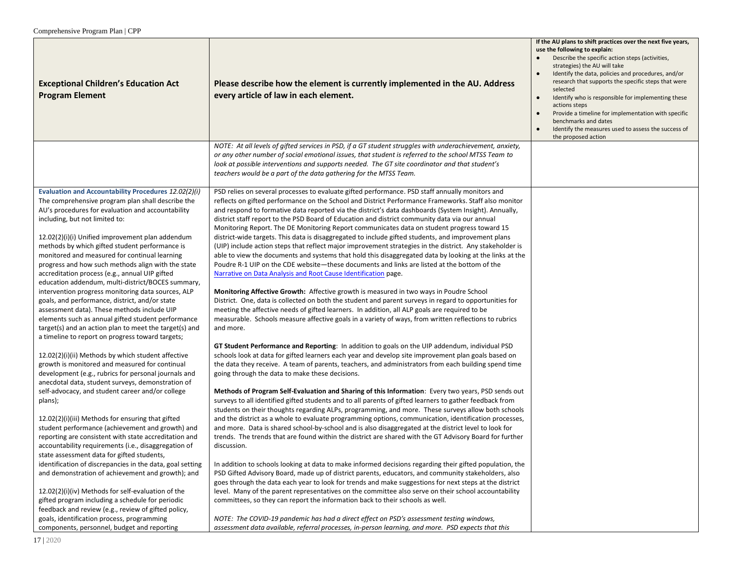| <b>Exceptional Children's Education Act</b><br><b>Program Element</b>                                                                                                                                                                                                                                                                                                                                                                                                                                                                                                                                                                                                                                                                                                                                                                                                                                                                                   | Please describe how the element is currently implemented in the AU. Address<br>every article of law in each element.                                                                                                                                                                                                                                                                                                                                                                                                                                                                                                                                                                                                                                                                                                                                                                                                                                                                                                                                                                                                                                                                                                                                                                                                                                                                                                                                                                                                                                                                                                                                                                                                                                         | If the AU plans to shift practices over the next five years,<br>use the following to explain:<br>Describe the specific action steps (activities,<br>strategies) the AU will take<br>Identify the data, policies and procedures, and/or<br>$\bullet$<br>research that supports the specific steps that were<br>selected<br>Identify who is responsible for implementing these<br>$\bullet$<br>actions steps<br>Provide a timeline for implementation with specific<br>benchmarks and dates<br>Identify the measures used to assess the success of<br>$\bullet$<br>the proposed action |
|---------------------------------------------------------------------------------------------------------------------------------------------------------------------------------------------------------------------------------------------------------------------------------------------------------------------------------------------------------------------------------------------------------------------------------------------------------------------------------------------------------------------------------------------------------------------------------------------------------------------------------------------------------------------------------------------------------------------------------------------------------------------------------------------------------------------------------------------------------------------------------------------------------------------------------------------------------|--------------------------------------------------------------------------------------------------------------------------------------------------------------------------------------------------------------------------------------------------------------------------------------------------------------------------------------------------------------------------------------------------------------------------------------------------------------------------------------------------------------------------------------------------------------------------------------------------------------------------------------------------------------------------------------------------------------------------------------------------------------------------------------------------------------------------------------------------------------------------------------------------------------------------------------------------------------------------------------------------------------------------------------------------------------------------------------------------------------------------------------------------------------------------------------------------------------------------------------------------------------------------------------------------------------------------------------------------------------------------------------------------------------------------------------------------------------------------------------------------------------------------------------------------------------------------------------------------------------------------------------------------------------------------------------------------------------------------------------------------------------|--------------------------------------------------------------------------------------------------------------------------------------------------------------------------------------------------------------------------------------------------------------------------------------------------------------------------------------------------------------------------------------------------------------------------------------------------------------------------------------------------------------------------------------------------------------------------------------|
|                                                                                                                                                                                                                                                                                                                                                                                                                                                                                                                                                                                                                                                                                                                                                                                                                                                                                                                                                         | NOTE: At all levels of gifted services in PSD, if a GT student struggles with underachievement, anxiety,<br>or any other number of social emotional issues, that student is referred to the school MTSS Team to<br>look at possible interventions and supports needed. The GT site coordinator and that student's<br>teachers would be a part of the data gathering for the MTSS Team.                                                                                                                                                                                                                                                                                                                                                                                                                                                                                                                                                                                                                                                                                                                                                                                                                                                                                                                                                                                                                                                                                                                                                                                                                                                                                                                                                                       |                                                                                                                                                                                                                                                                                                                                                                                                                                                                                                                                                                                      |
| Evaluation and Accountability Procedures 12.02(2)(i)<br>The comprehensive program plan shall describe the<br>AU's procedures for evaluation and accountability<br>including, but not limited to:<br>12.02(2)(i)(i) Unified improvement plan addendum<br>methods by which gifted student performance is<br>monitored and measured for continual learning<br>progress and how such methods align with the state<br>accreditation process (e.g., annual UIP gifted<br>education addendum, multi-district/BOCES summary,<br>intervention progress monitoring data sources, ALP<br>goals, and performance, district, and/or state<br>assessment data). These methods include UIP<br>elements such as annual gifted student performance<br>target(s) and an action plan to meet the target(s) and<br>a timeline to report on progress toward targets;<br>12.02(2)(i)(ii) Methods by which student affective<br>growth is monitored and measured for continual | PSD relies on several processes to evaluate gifted performance. PSD staff annually monitors and<br>reflects on gifted performance on the School and District Performance Frameworks. Staff also monitor<br>and respond to formative data reported via the district's data dashboards (System Insight). Annually,<br>district staff report to the PSD Board of Education and district community data via our annual<br>Monitoring Report. The DE Monitoring Report communicates data on student progress toward 15<br>district-wide targets. This data is disaggregated to include gifted students, and improvement plans<br>(UIP) include action steps that reflect major improvement strategies in the district. Any stakeholder is<br>able to view the documents and systems that hold this disaggregated data by looking at the links at the<br>Poudre R-1 UIP on the CDE website-these documents and links are listed at the bottom of the<br>Narrative on Data Analysis and Root Cause Identification page.<br>Monitoring Affective Growth: Affective growth is measured in two ways in Poudre School<br>District. One, data is collected on both the student and parent surveys in regard to opportunities for<br>meeting the affective needs of gifted learners. In addition, all ALP goals are required to be<br>measurable. Schools measure affective goals in a variety of ways, from written reflections to rubrics<br>and more.<br>GT Student Performance and Reporting: In addition to goals on the UIP addendum, individual PSD<br>schools look at data for gifted learners each year and develop site improvement plan goals based on<br>the data they receive. A team of parents, teachers, and administrators from each building spend time |                                                                                                                                                                                                                                                                                                                                                                                                                                                                                                                                                                                      |
| development (e.g., rubrics for personal journals and<br>anecdotal data, student surveys, demonstration of<br>self-advocacy, and student career and/or college<br>plans);<br>12.02(2)(i)(iii) Methods for ensuring that gifted<br>student performance (achievement and growth) and<br>reporting are consistent with state accreditation and<br>accountability requirements (i.e., disaggregation of<br>state assessment data for gifted students,<br>identification of discrepancies in the data, goal setting<br>and demonstration of achievement and growth); and<br>12.02(2)(i)(iv) Methods for self-evaluation of the<br>gifted program including a schedule for periodic<br>feedback and review (e.g., review of gifted policy,<br>goals, identification process, programming<br>components, personnel, budget and reporting                                                                                                                        | going through the data to make these decisions.<br>Methods of Program Self-Evaluation and Sharing of this Information: Every two years, PSD sends out<br>surveys to all identified gifted students and to all parents of gifted learners to gather feedback from<br>students on their thoughts regarding ALPs, programming, and more. These surveys allow both schools<br>and the district as a whole to evaluate programming options, communication, identification processes,<br>and more. Data is shared school-by-school and is also disaggregated at the district level to look for<br>trends. The trends that are found within the district are shared with the GT Advisory Board for further<br>discussion.<br>In addition to schools looking at data to make informed decisions regarding their gifted population, the<br>PSD Gifted Advisory Board, made up of district parents, educators, and community stakeholders, also<br>goes through the data each year to look for trends and make suggestions for next steps at the district<br>level. Many of the parent representatives on the committee also serve on their school accountability<br>committees, so they can report the information back to their schools as well.<br>NOTE: The COVID-19 pandemic has had a direct effect on PSD's assessment testing windows,<br>assessment data available, referral processes, in-person learning, and more. PSD expects that this                                                                                                                                                                                                                                                                                                                   |                                                                                                                                                                                                                                                                                                                                                                                                                                                                                                                                                                                      |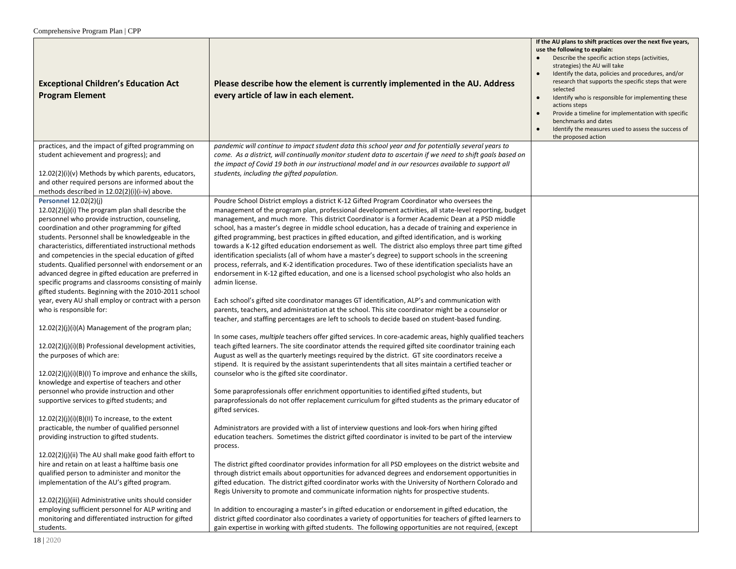| <b>Exceptional Children's Education Act</b><br><b>Program Element</b>                                                                                                                                                                                                                                                                                                                                                                                                                                                                                                                                                                         | Please describe how the element is currently implemented in the AU. Address<br>every article of law in each element.                                                                                                                                                                                                                                                                                                                                                                                                                                                                                                                                                                                                                                                                                                                                                                                                                                                                                                                                                  | If the AU plans to shift practices over the next five years,<br>use the following to explain:<br>Describe the specific action steps (activities,<br>strategies) the AU will take<br>Identify the data, policies and procedures, and/or<br>research that supports the specific steps that were<br>selected<br>Identify who is responsible for implementing these<br>$\bullet$<br>actions steps<br>Provide a timeline for implementation with specific<br>$\bullet$<br>benchmarks and dates<br>Identify the measures used to assess the success of<br>the proposed action |
|-----------------------------------------------------------------------------------------------------------------------------------------------------------------------------------------------------------------------------------------------------------------------------------------------------------------------------------------------------------------------------------------------------------------------------------------------------------------------------------------------------------------------------------------------------------------------------------------------------------------------------------------------|-----------------------------------------------------------------------------------------------------------------------------------------------------------------------------------------------------------------------------------------------------------------------------------------------------------------------------------------------------------------------------------------------------------------------------------------------------------------------------------------------------------------------------------------------------------------------------------------------------------------------------------------------------------------------------------------------------------------------------------------------------------------------------------------------------------------------------------------------------------------------------------------------------------------------------------------------------------------------------------------------------------------------------------------------------------------------|-------------------------------------------------------------------------------------------------------------------------------------------------------------------------------------------------------------------------------------------------------------------------------------------------------------------------------------------------------------------------------------------------------------------------------------------------------------------------------------------------------------------------------------------------------------------------|
| practices, and the impact of gifted programming on<br>student achievement and progress); and<br>12.02(2)(i)(v) Methods by which parents, educators,<br>and other required persons are informed about the<br>methods described in 12.02(2)(i)(i-iv) above.                                                                                                                                                                                                                                                                                                                                                                                     | pandemic will continue to impact student data this school year and for potentially several years to<br>come. As a district, will continually monitor student data to ascertain if we need to shift goals based on<br>the impact of Covid 19 both in our instructional model and in our resources available to support all<br>students, including the gifted population.                                                                                                                                                                                                                                                                                                                                                                                                                                                                                                                                                                                                                                                                                               |                                                                                                                                                                                                                                                                                                                                                                                                                                                                                                                                                                         |
| Personnel 12.02(2)(j)<br>12.02(2)(j)(i) The program plan shall describe the<br>personnel who provide instruction, counseling,<br>coordination and other programming for gifted<br>students. Personnel shall be knowledgeable in the<br>characteristics, differentiated instructional methods<br>and competencies in the special education of gifted<br>students. Qualified personnel with endorsement or an<br>advanced degree in gifted education are preferred in<br>specific programs and classrooms consisting of mainly<br>gifted students. Beginning with the 2010-2011 school<br>year, every AU shall employ or contract with a person | Poudre School District employs a district K-12 Gifted Program Coordinator who oversees the<br>management of the program plan, professional development activities, all state-level reporting, budget<br>management, and much more. This district Coordinator is a former Academic Dean at a PSD middle<br>school, has a master's degree in middle school education, has a decade of training and experience in<br>gifted programming, best practices in gifted education, and gifted identification, and is working<br>towards a K-12 gifted education endorsement as well. The district also employs three part time gifted<br>identification specialists (all of whom have a master's degree) to support schools in the screening<br>process, referrals, and K-2 identification procedures. Two of these identification specialists have an<br>endorsement in K-12 gifted education, and one is a licensed school psychologist who also holds an<br>admin license.<br>Each school's gifted site coordinator manages GT identification, ALP's and communication with |                                                                                                                                                                                                                                                                                                                                                                                                                                                                                                                                                                         |
| who is responsible for:<br>12.02(2)(j)(i)(A) Management of the program plan;                                                                                                                                                                                                                                                                                                                                                                                                                                                                                                                                                                  | parents, teachers, and administration at the school. This site coordinator might be a counselor or<br>teacher, and staffing percentages are left to schools to decide based on student-based funding.                                                                                                                                                                                                                                                                                                                                                                                                                                                                                                                                                                                                                                                                                                                                                                                                                                                                 |                                                                                                                                                                                                                                                                                                                                                                                                                                                                                                                                                                         |
| 12.02(2)(j)(i)(B) Professional development activities,<br>the purposes of which are:                                                                                                                                                                                                                                                                                                                                                                                                                                                                                                                                                          | In some cases, multiple teachers offer gifted services. In core-academic areas, highly qualified teachers<br>teach gifted learners. The site coordinator attends the required gifted site coordinator training each<br>August as well as the quarterly meetings required by the district. GT site coordinators receive a<br>stipend. It is required by the assistant superintendents that all sites maintain a certified teacher or                                                                                                                                                                                                                                                                                                                                                                                                                                                                                                                                                                                                                                   |                                                                                                                                                                                                                                                                                                                                                                                                                                                                                                                                                                         |
| $12.02(2)(j)(i)(B)(I)$ To improve and enhance the skills,<br>knowledge and expertise of teachers and other<br>personnel who provide instruction and other<br>supportive services to gifted students; and                                                                                                                                                                                                                                                                                                                                                                                                                                      | counselor who is the gifted site coordinator.<br>Some paraprofessionals offer enrichment opportunities to identified gifted students, but<br>paraprofessionals do not offer replacement curriculum for gifted students as the primary educator of                                                                                                                                                                                                                                                                                                                                                                                                                                                                                                                                                                                                                                                                                                                                                                                                                     |                                                                                                                                                                                                                                                                                                                                                                                                                                                                                                                                                                         |
| $12.02(2)(i)(i)(B)(II)$ To increase, to the extent<br>practicable, the number of qualified personnel<br>providing instruction to gifted students.                                                                                                                                                                                                                                                                                                                                                                                                                                                                                             | gifted services.<br>Administrators are provided with a list of interview questions and look-fors when hiring gifted<br>education teachers. Sometimes the district gifted coordinator is invited to be part of the interview<br>process.                                                                                                                                                                                                                                                                                                                                                                                                                                                                                                                                                                                                                                                                                                                                                                                                                               |                                                                                                                                                                                                                                                                                                                                                                                                                                                                                                                                                                         |
| 12.02(2)(j)(ii) The AU shall make good faith effort to<br>hire and retain on at least a halftime basis one<br>qualified person to administer and monitor the<br>implementation of the AU's gifted program.                                                                                                                                                                                                                                                                                                                                                                                                                                    | The district gifted coordinator provides information for all PSD employees on the district website and<br>through district emails about opportunities for advanced degrees and endorsement opportunities in<br>gifted education. The district gifted coordinator works with the University of Northern Colorado and<br>Regis University to promote and communicate information nights for prospective students.                                                                                                                                                                                                                                                                                                                                                                                                                                                                                                                                                                                                                                                       |                                                                                                                                                                                                                                                                                                                                                                                                                                                                                                                                                                         |
| 12.02(2)(j)(iii) Administrative units should consider<br>employing sufficient personnel for ALP writing and<br>monitoring and differentiated instruction for gifted<br>students.                                                                                                                                                                                                                                                                                                                                                                                                                                                              | In addition to encouraging a master's in gifted education or endorsement in gifted education, the<br>district gifted coordinator also coordinates a variety of opportunities for teachers of gifted learners to<br>gain expertise in working with gifted students. The following opportunities are not required, (except                                                                                                                                                                                                                                                                                                                                                                                                                                                                                                                                                                                                                                                                                                                                              |                                                                                                                                                                                                                                                                                                                                                                                                                                                                                                                                                                         |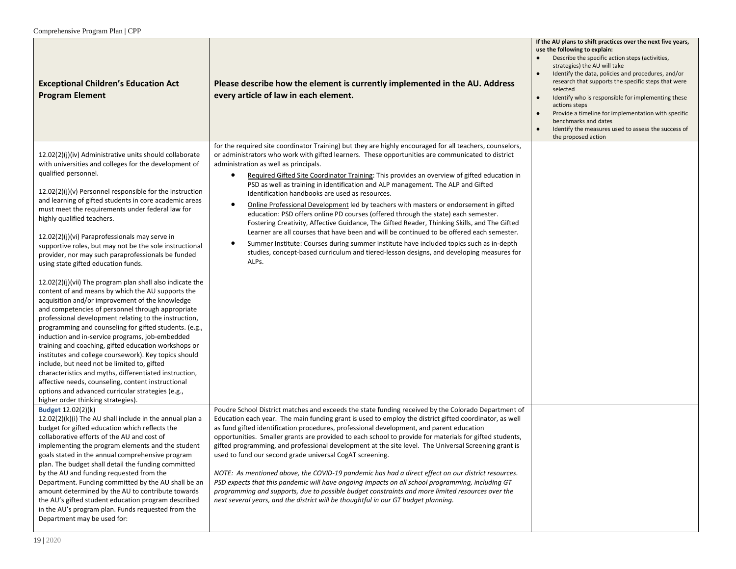| <b>Exceptional Children's Education Act</b><br><b>Program Element</b>                                                                                                                                                                                                                                                                                                                                                                                                                                                                                                                                                                                                                                                                                                                                                                                                                                                                                                                                                                                                                                                                                                                                                                                                                                                                   | Please describe how the element is currently implemented in the AU. Address<br>every article of law in each element.                                                                                                                                                                                                                                                                                                                                                                                                                                                                                                                                                                                                                                                                                                                                                                                                                                                                                                                                                                                            | If the AU plans to shift practices over the next five years,<br>use the following to explain:<br>Describe the specific action steps (activities,<br>strategies) the AU will take<br>Identify the data, policies and procedures, and/or<br>$\bullet$<br>research that supports the specific steps that were<br>selected<br>Identify who is responsible for implementing these<br>$\bullet$<br>actions steps<br>Provide a timeline for implementation with specific<br>benchmarks and dates<br>Identify the measures used to assess the success of<br>$\bullet$<br>the proposed action |
|-----------------------------------------------------------------------------------------------------------------------------------------------------------------------------------------------------------------------------------------------------------------------------------------------------------------------------------------------------------------------------------------------------------------------------------------------------------------------------------------------------------------------------------------------------------------------------------------------------------------------------------------------------------------------------------------------------------------------------------------------------------------------------------------------------------------------------------------------------------------------------------------------------------------------------------------------------------------------------------------------------------------------------------------------------------------------------------------------------------------------------------------------------------------------------------------------------------------------------------------------------------------------------------------------------------------------------------------|-----------------------------------------------------------------------------------------------------------------------------------------------------------------------------------------------------------------------------------------------------------------------------------------------------------------------------------------------------------------------------------------------------------------------------------------------------------------------------------------------------------------------------------------------------------------------------------------------------------------------------------------------------------------------------------------------------------------------------------------------------------------------------------------------------------------------------------------------------------------------------------------------------------------------------------------------------------------------------------------------------------------------------------------------------------------------------------------------------------------|--------------------------------------------------------------------------------------------------------------------------------------------------------------------------------------------------------------------------------------------------------------------------------------------------------------------------------------------------------------------------------------------------------------------------------------------------------------------------------------------------------------------------------------------------------------------------------------|
| 12.02(2)(j)(iv) Administrative units should collaborate<br>with universities and colleges for the development of<br>qualified personnel.<br>12.02(2)(j)(v) Personnel responsible for the instruction<br>and learning of gifted students in core academic areas<br>must meet the requirements under federal law for<br>highly qualified teachers.<br>12.02(2)(j)(vi) Paraprofessionals may serve in<br>supportive roles, but may not be the sole instructional<br>provider, nor may such paraprofessionals be funded<br>using state gifted education funds.<br>$12.02(2)(j)(vii)$ The program plan shall also indicate the<br>content of and means by which the AU supports the<br>acquisition and/or improvement of the knowledge<br>and competencies of personnel through appropriate<br>professional development relating to the instruction,<br>programming and counseling for gifted students. (e.g.,<br>induction and in-service programs, job-embedded<br>training and coaching, gifted education workshops or<br>institutes and college coursework). Key topics should<br>include, but need not be limited to, gifted<br>characteristics and myths, differentiated instruction,<br>affective needs, counseling, content instructional<br>options and advanced curricular strategies (e.g.,<br>higher order thinking strategies). | for the required site coordinator Training) but they are highly encouraged for all teachers, counselors,<br>or administrators who work with gifted learners. These opportunities are communicated to district<br>administration as well as principals.<br>Required Gifted Site Coordinator Training: This provides an overview of gifted education in<br>$\bullet$<br>PSD as well as training in identification and ALP management. The ALP and Gifted<br>Identification handbooks are used as resources.<br>Online Professional Development led by teachers with masters or endorsement in gifted<br>$\bullet$<br>education: PSD offers online PD courses (offered through the state) each semester.<br>Fostering Creativity, Affective Guidance, The Gifted Reader, Thinking Skills, and The Gifted<br>Learner are all courses that have been and will be continued to be offered each semester.<br>Summer Institute: Courses during summer institute have included topics such as in-depth<br>$\bullet$<br>studies, concept-based curriculum and tiered-lesson designs, and developing measures for<br>ALPs. |                                                                                                                                                                                                                                                                                                                                                                                                                                                                                                                                                                                      |
| <b>Budget 12.02(2)(k)</b><br>12.02(2)(k)(i) The AU shall include in the annual plan a<br>budget for gifted education which reflects the<br>collaborative efforts of the AU and cost of<br>implementing the program elements and the student<br>goals stated in the annual comprehensive program<br>plan. The budget shall detail the funding committed<br>by the AU and funding requested from the<br>Department. Funding committed by the AU shall be an<br>amount determined by the AU to contribute towards<br>the AU's gifted student education program described<br>in the AU's program plan. Funds requested from the<br>Department may be used for:                                                                                                                                                                                                                                                                                                                                                                                                                                                                                                                                                                                                                                                                              | Poudre School District matches and exceeds the state funding received by the Colorado Department of<br>Education each year. The main funding grant is used to employ the district gifted coordinator, as well<br>as fund gifted identification procedures, professional development, and parent education<br>opportunities. Smaller grants are provided to each school to provide for materials for gifted students,<br>gifted programming, and professional development at the site level. The Universal Screening grant is<br>used to fund our second grade universal CogAT screening.<br>NOTE: As mentioned above, the COVID-19 pandemic has had a direct effect on our district resources.<br>PSD expects that this pandemic will have ongoing impacts on all school programming, including GT<br>programming and supports, due to possible budget constraints and more limited resources over the<br>next several years, and the district will be thoughtful in our GT budget planning.                                                                                                                    |                                                                                                                                                                                                                                                                                                                                                                                                                                                                                                                                                                                      |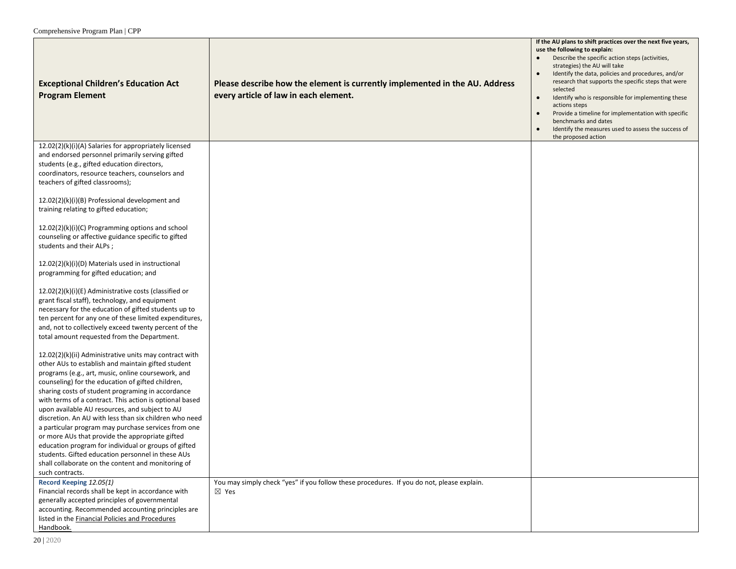| <b>Exceptional Children's Education Act</b><br><b>Program Element</b>                                                                                                                                                                                                                                                             | Please describe how the element is currently implemented in the AU. Address<br>every article of law in each element. | If the AU plans to shift practices over the next five years,<br>use the following to explain:<br>Describe the specific action steps (activities,<br>strategies) the AU will take<br>Identify the data, policies and procedures, and/or<br>$\bullet$<br>research that supports the specific steps that were<br>selected<br>Identify who is responsible for implementing these<br>$\bullet$<br>actions steps<br>Provide a timeline for implementation with specific<br>$\bullet$<br>benchmarks and dates<br>Identify the measures used to assess the success of<br>$\bullet$<br>the proposed action |
|-----------------------------------------------------------------------------------------------------------------------------------------------------------------------------------------------------------------------------------------------------------------------------------------------------------------------------------|----------------------------------------------------------------------------------------------------------------------|---------------------------------------------------------------------------------------------------------------------------------------------------------------------------------------------------------------------------------------------------------------------------------------------------------------------------------------------------------------------------------------------------------------------------------------------------------------------------------------------------------------------------------------------------------------------------------------------------|
| 12.02(2)(k)(i)(A) Salaries for appropriately licensed<br>and endorsed personnel primarily serving gifted<br>students (e.g., gifted education directors,<br>coordinators, resource teachers, counselors and<br>teachers of gifted classrooms);                                                                                     |                                                                                                                      |                                                                                                                                                                                                                                                                                                                                                                                                                                                                                                                                                                                                   |
| $12.02(2)(k)(i)(B)$ Professional development and<br>training relating to gifted education;                                                                                                                                                                                                                                        |                                                                                                                      |                                                                                                                                                                                                                                                                                                                                                                                                                                                                                                                                                                                                   |
| 12.02(2)(k)(i)(C) Programming options and school<br>counseling or affective guidance specific to gifted<br>students and their ALPs;                                                                                                                                                                                               |                                                                                                                      |                                                                                                                                                                                                                                                                                                                                                                                                                                                                                                                                                                                                   |
| 12.02(2)(k)(i)(D) Materials used in instructional<br>programming for gifted education; and                                                                                                                                                                                                                                        |                                                                                                                      |                                                                                                                                                                                                                                                                                                                                                                                                                                                                                                                                                                                                   |
| 12.02(2)(k)(i)(E) Administrative costs (classified or<br>grant fiscal staff), technology, and equipment<br>necessary for the education of gifted students up to<br>ten percent for any one of these limited expenditures,<br>and, not to collectively exceed twenty percent of the<br>total amount requested from the Department. |                                                                                                                      |                                                                                                                                                                                                                                                                                                                                                                                                                                                                                                                                                                                                   |
| 12.02(2)(k)(ii) Administrative units may contract with<br>other AUs to establish and maintain gifted student<br>programs (e.g., art, music, online coursework, and<br>counseling) for the education of gifted children,                                                                                                           |                                                                                                                      |                                                                                                                                                                                                                                                                                                                                                                                                                                                                                                                                                                                                   |
| sharing costs of student programing in accordance<br>with terms of a contract. This action is optional based<br>upon available AU resources, and subject to AU                                                                                                                                                                    |                                                                                                                      |                                                                                                                                                                                                                                                                                                                                                                                                                                                                                                                                                                                                   |
| discretion. An AU with less than six children who need<br>a particular program may purchase services from one<br>or more AUs that provide the appropriate gifted                                                                                                                                                                  |                                                                                                                      |                                                                                                                                                                                                                                                                                                                                                                                                                                                                                                                                                                                                   |
| education program for individual or groups of gifted<br>students. Gifted education personnel in these AUs<br>shall collaborate on the content and monitoring of<br>such contracts.                                                                                                                                                |                                                                                                                      |                                                                                                                                                                                                                                                                                                                                                                                                                                                                                                                                                                                                   |
| Record Keeping 12.05(1)<br>Financial records shall be kept in accordance with<br>generally accepted principles of governmental<br>accounting. Recommended accounting principles are<br>listed in the Financial Policies and Procedures<br>Handbook.                                                                               | You may simply check "yes" if you follow these procedures. If you do not, please explain.<br>⊠ Yes                   |                                                                                                                                                                                                                                                                                                                                                                                                                                                                                                                                                                                                   |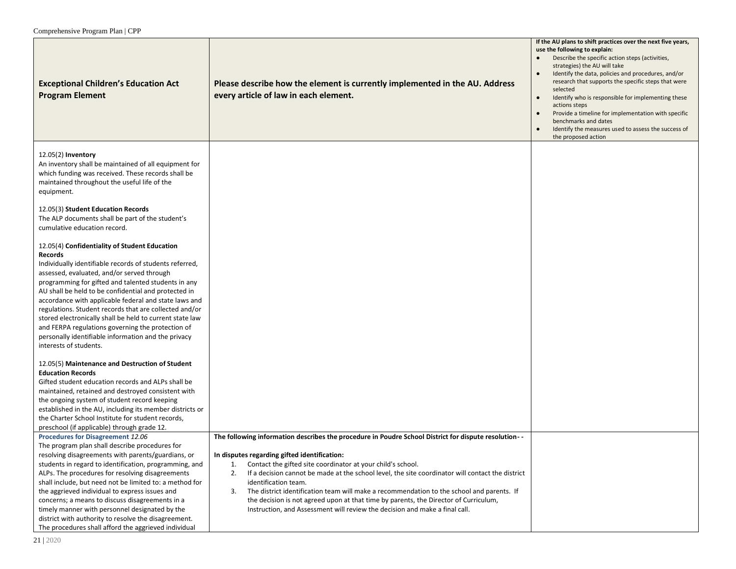| <b>Exceptional Children's Education Act</b><br><b>Program Element</b>                                                                                                                                                                                                                                                                                                                                                                                                                                                                                                                                 | Please describe how the element is currently implemented in the AU. Address<br>every article of law in each element.                                                                                                                                                                                                                                                                                                                                                                                                                                                                                                                  | If the AU plans to shift practices over the next five years,<br>use the following to explain:<br>Describe the specific action steps (activities,<br>strategies) the AU will take<br>Identify the data, policies and procedures, and/or<br>$\bullet$<br>research that supports the specific steps that were<br>selected<br>Identify who is responsible for implementing these<br>$\bullet$<br>actions steps<br>Provide a timeline for implementation with specific<br>$\bullet$<br>benchmarks and dates<br>Identify the measures used to assess the success of<br>$\bullet$<br>the proposed action |
|-------------------------------------------------------------------------------------------------------------------------------------------------------------------------------------------------------------------------------------------------------------------------------------------------------------------------------------------------------------------------------------------------------------------------------------------------------------------------------------------------------------------------------------------------------------------------------------------------------|---------------------------------------------------------------------------------------------------------------------------------------------------------------------------------------------------------------------------------------------------------------------------------------------------------------------------------------------------------------------------------------------------------------------------------------------------------------------------------------------------------------------------------------------------------------------------------------------------------------------------------------|---------------------------------------------------------------------------------------------------------------------------------------------------------------------------------------------------------------------------------------------------------------------------------------------------------------------------------------------------------------------------------------------------------------------------------------------------------------------------------------------------------------------------------------------------------------------------------------------------|
| 12.05(2) Inventory<br>An inventory shall be maintained of all equipment for<br>which funding was received. These records shall be<br>maintained throughout the useful life of the<br>equipment.                                                                                                                                                                                                                                                                                                                                                                                                       |                                                                                                                                                                                                                                                                                                                                                                                                                                                                                                                                                                                                                                       |                                                                                                                                                                                                                                                                                                                                                                                                                                                                                                                                                                                                   |
| 12.05(3) Student Education Records<br>The ALP documents shall be part of the student's<br>cumulative education record.                                                                                                                                                                                                                                                                                                                                                                                                                                                                                |                                                                                                                                                                                                                                                                                                                                                                                                                                                                                                                                                                                                                                       |                                                                                                                                                                                                                                                                                                                                                                                                                                                                                                                                                                                                   |
| 12.05(4) Confidentiality of Student Education<br>Records<br>Individually identifiable records of students referred,<br>assessed, evaluated, and/or served through<br>programming for gifted and talented students in any<br>AU shall be held to be confidential and protected in<br>accordance with applicable federal and state laws and<br>regulations. Student records that are collected and/or<br>stored electronically shall be held to current state law<br>and FERPA regulations governing the protection of<br>personally identifiable information and the privacy<br>interests of students. |                                                                                                                                                                                                                                                                                                                                                                                                                                                                                                                                                                                                                                       |                                                                                                                                                                                                                                                                                                                                                                                                                                                                                                                                                                                                   |
| 12.05(5) Maintenance and Destruction of Student<br><b>Education Records</b><br>Gifted student education records and ALPs shall be<br>maintained, retained and destroyed consistent with<br>the ongoing system of student record keeping<br>established in the AU, including its member districts or<br>the Charter School Institute for student records,<br>preschool (if applicable) through grade 12.                                                                                                                                                                                               |                                                                                                                                                                                                                                                                                                                                                                                                                                                                                                                                                                                                                                       |                                                                                                                                                                                                                                                                                                                                                                                                                                                                                                                                                                                                   |
| <b>Procedures for Disagreement 12.06</b><br>The program plan shall describe procedures for<br>resolving disagreements with parents/guardians, or<br>students in regard to identification, programming, and<br>ALPs. The procedures for resolving disagreements<br>shall include, but need not be limited to: a method for<br>the aggrieved individual to express issues and<br>concerns; a means to discuss disagreements in a<br>timely manner with personnel designated by the<br>district with authority to resolve the disagreement.<br>The procedures shall afford the aggrieved individual      | The following information describes the procedure in Poudre School District for dispute resolution--<br>In disputes regarding gifted identification:<br>Contact the gifted site coordinator at your child's school.<br>1.<br>If a decision cannot be made at the school level, the site coordinator will contact the district<br>2.<br>identification team.<br>The district identification team will make a recommendation to the school and parents. If<br>3.<br>the decision is not agreed upon at that time by parents, the Director of Curriculum,<br>Instruction, and Assessment will review the decision and make a final call. |                                                                                                                                                                                                                                                                                                                                                                                                                                                                                                                                                                                                   |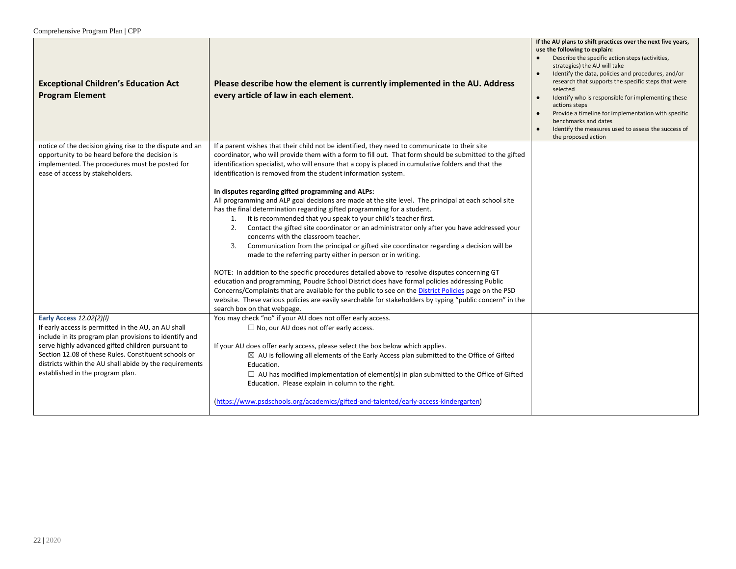| <b>Exceptional Children's Education Act</b><br><b>Program Element</b>                                                                                                                                                                                                                                                                                 | Please describe how the element is currently implemented in the AU. Address<br>every article of law in each element.                                                                                                                                                                                                                                                                                                                                                                                                                                                                                                                                                                                                                                                                                                                                                                                                                                                                                                                                                              | If the AU plans to shift practices over the next five years,<br>use the following to explain:<br>Describe the specific action steps (activities,<br>strategies) the AU will take<br>Identify the data, policies and procedures, and/or<br>research that supports the specific steps that were<br>selected<br>Identify who is responsible for implementing these<br>$\bullet$<br>actions steps<br>Provide a timeline for implementation with specific<br>benchmarks and dates<br>Identify the measures used to assess the success of<br>the proposed action |
|-------------------------------------------------------------------------------------------------------------------------------------------------------------------------------------------------------------------------------------------------------------------------------------------------------------------------------------------------------|-----------------------------------------------------------------------------------------------------------------------------------------------------------------------------------------------------------------------------------------------------------------------------------------------------------------------------------------------------------------------------------------------------------------------------------------------------------------------------------------------------------------------------------------------------------------------------------------------------------------------------------------------------------------------------------------------------------------------------------------------------------------------------------------------------------------------------------------------------------------------------------------------------------------------------------------------------------------------------------------------------------------------------------------------------------------------------------|------------------------------------------------------------------------------------------------------------------------------------------------------------------------------------------------------------------------------------------------------------------------------------------------------------------------------------------------------------------------------------------------------------------------------------------------------------------------------------------------------------------------------------------------------------|
| notice of the decision giving rise to the dispute and an<br>opportunity to be heard before the decision is<br>implemented. The procedures must be posted for<br>ease of access by stakeholders.                                                                                                                                                       | If a parent wishes that their child not be identified, they need to communicate to their site<br>coordinator, who will provide them with a form to fill out. That form should be submitted to the gifted<br>identification specialist, who will ensure that a copy is placed in cumulative folders and that the<br>identification is removed from the student information system.                                                                                                                                                                                                                                                                                                                                                                                                                                                                                                                                                                                                                                                                                                 |                                                                                                                                                                                                                                                                                                                                                                                                                                                                                                                                                            |
|                                                                                                                                                                                                                                                                                                                                                       | In disputes regarding gifted programming and ALPs:<br>All programming and ALP goal decisions are made at the site level. The principal at each school site<br>has the final determination regarding gifted programming for a student.<br>It is recommended that you speak to your child's teacher first.<br>1.<br>Contact the gifted site coordinator or an administrator only after you have addressed your<br>2.<br>concerns with the classroom teacher.<br>Communication from the principal or gifted site coordinator regarding a decision will be<br>3.<br>made to the referring party either in person or in writing.<br>NOTE: In addition to the specific procedures detailed above to resolve disputes concerning GT<br>education and programming, Poudre School District does have formal policies addressing Public<br>Concerns/Complaints that are available for the public to see on the District Policies page on the PSD<br>website. These various policies are easily searchable for stakeholders by typing "public concern" in the<br>search box on that webpage. |                                                                                                                                                                                                                                                                                                                                                                                                                                                                                                                                                            |
| Early Access 12.02(2)(l)<br>If early access is permitted in the AU, an AU shall<br>include in its program plan provisions to identify and<br>serve highly advanced gifted children pursuant to<br>Section 12.08 of these Rules. Constituent schools or<br>districts within the AU shall abide by the requirements<br>established in the program plan. | You may check "no" if your AU does not offer early access.<br>$\Box$ No, our AU does not offer early access.<br>If your AU does offer early access, please select the box below which applies.<br>$\boxtimes$ AU is following all elements of the Early Access plan submitted to the Office of Gifted<br>Education.<br>$\Box$ AU has modified implementation of element(s) in plan submitted to the Office of Gifted<br>Education. Please explain in column to the right.<br>(https://www.psdschools.org/academics/gifted-and-talented/early-access-kindergarten)                                                                                                                                                                                                                                                                                                                                                                                                                                                                                                                 |                                                                                                                                                                                                                                                                                                                                                                                                                                                                                                                                                            |